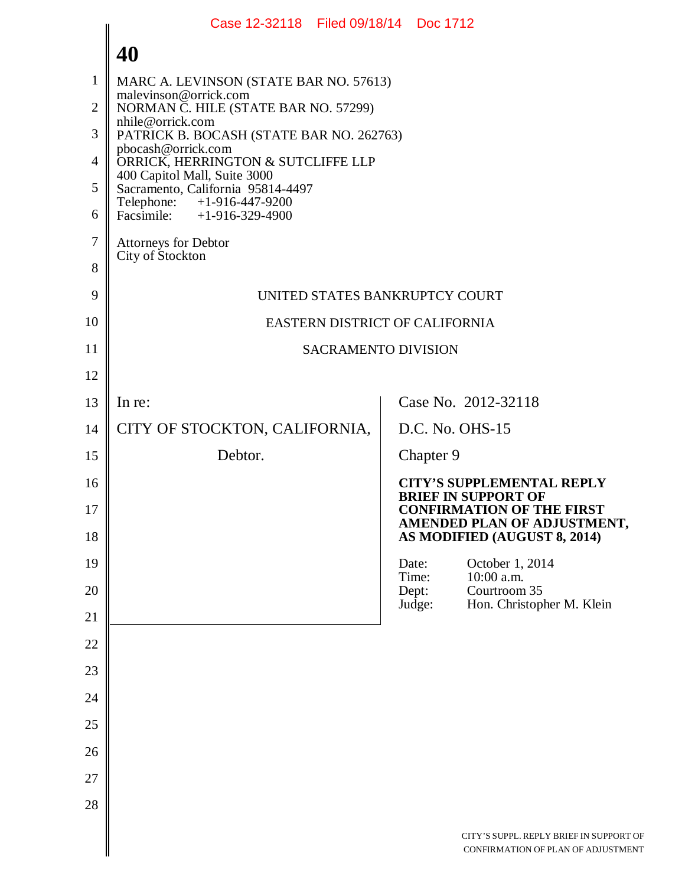|                | Case 12-32118 Filed 09/18/14 Doc 1712                                                           |  |
|----------------|-------------------------------------------------------------------------------------------------|--|
|                | 40                                                                                              |  |
| 1              | MARC A. LEVINSON (STATE BAR NO. 57613)                                                          |  |
| $\overline{2}$ | malevinson@orrick.com<br>NORMAN C. HILE (STATE BAR NO. 57299)                                   |  |
| 3              | nhile@orrick.com<br>PATRICK B. BOCASH (STATE BAR NO. 262763)                                    |  |
| $\overline{4}$ | pbocash@orrick.com<br>ORRICK, HERRINGTON & SUTCLIFFE LLP                                        |  |
| 5              | 400 Capitol Mall, Suite 3000<br>Sacramento, California 95814-4497                               |  |
| 6              | Telephone: +1-916-447-9200<br>Facsimile: $+1-916-329-4900$                                      |  |
| $\tau$         | Attorneys for Debtor                                                                            |  |
| 8              | City of Stockton                                                                                |  |
| 9              | UNITED STATES BANKRUPTCY COURT                                                                  |  |
| 10             | EASTERN DISTRICT OF CALIFORNIA                                                                  |  |
| 11             | <b>SACRAMENTO DIVISION</b>                                                                      |  |
| 12             |                                                                                                 |  |
| 13             | Case No. 2012-32118<br>In re:                                                                   |  |
| 14             | CITY OF STOCKTON, CALIFORNIA,<br>D.C. No. OHS-15                                                |  |
| 15             | Debtor.<br>Chapter 9                                                                            |  |
| 16             | <b>CITY'S SUPPLEMENTAL REPLY</b><br><b>BRIEF IN SUPPORT OF</b>                                  |  |
| 17<br>18       | <b>CONFIRMATION OF THE FIRST</b><br>AMENDED PLAN OF ADJUSTMENT,<br>AS MODIFIED (AUGUST 8, 2014) |  |
| 19             | October 1, 2014<br>Date:                                                                        |  |
| 20             | 10:00 a.m.<br>Time:<br>Dept:<br>Courtroom 35                                                    |  |
| 21             | Judge:<br>Hon. Christopher M. Klein                                                             |  |
| 22             |                                                                                                 |  |
| 23             |                                                                                                 |  |
| 24             |                                                                                                 |  |
| 25             |                                                                                                 |  |
| 26             |                                                                                                 |  |
| 27             |                                                                                                 |  |
| 28             |                                                                                                 |  |
|                | CITY'S SUPPL. REPLY BRIEF IN SUPPORT OF<br>CONFIRMATION OF PLAN OF ADJUSTMENT                   |  |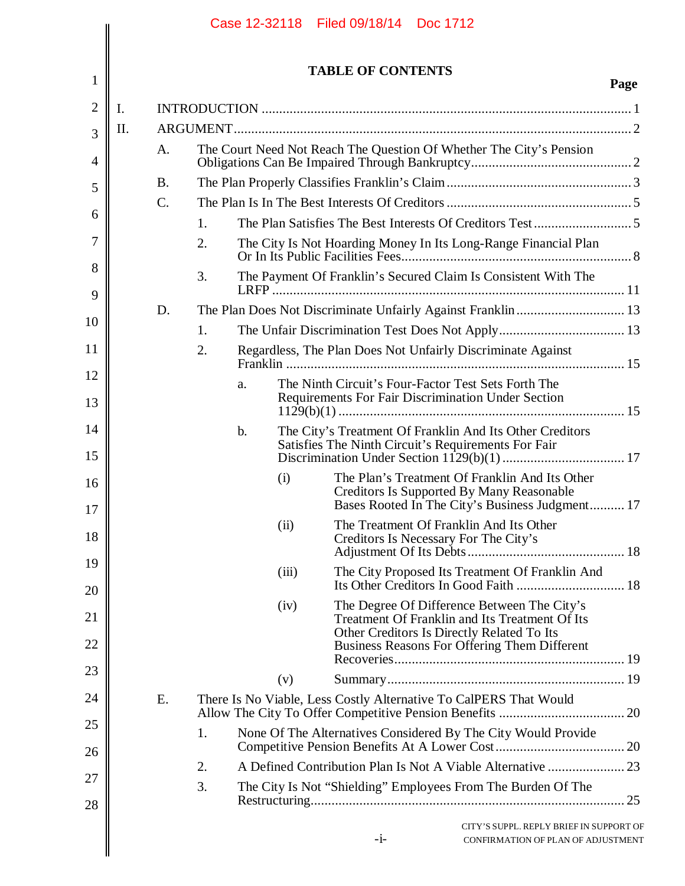|                |           |    |    |       | <b>TABLE OF CONTENTS</b>                                                                                                                              | Page |
|----------------|-----------|----|----|-------|-------------------------------------------------------------------------------------------------------------------------------------------------------|------|
| $\mathbf{I}$ . |           |    |    |       |                                                                                                                                                       |      |
| Π.             |           |    |    |       |                                                                                                                                                       |      |
|                | A.        |    |    |       | The Court Need Not Reach The Question Of Whether The City's Pension                                                                                   |      |
|                | <b>B.</b> |    |    |       |                                                                                                                                                       |      |
|                | C.        |    |    |       |                                                                                                                                                       |      |
|                |           | 1. |    |       |                                                                                                                                                       |      |
|                |           | 2. |    |       | The City Is Not Hoarding Money In Its Long-Range Financial Plan                                                                                       |      |
|                |           | 3. |    |       | The Payment Of Franklin's Secured Claim Is Consistent With The                                                                                        |      |
|                | D.        |    |    |       |                                                                                                                                                       |      |
|                |           | 1. |    |       |                                                                                                                                                       |      |
|                |           | 2. |    |       | Regardless, The Plan Does Not Unfairly Discriminate Against                                                                                           |      |
|                |           |    | a. |       | The Ninth Circuit's Four-Factor Test Sets Forth The<br>Requirements For Fair Discrimination Under Section                                             |      |
|                |           |    | b. |       | The City's Treatment Of Franklin And Its Other Creditors<br>Satisfies The Ninth Circuit's Requirements For Fair                                       |      |
|                |           |    |    | (i)   | The Plan's Treatment Of Franklin And Its Other<br><b>Creditors Is Supported By Many Reasonable</b><br>Bases Rooted In The City's Business Judgment 17 |      |
|                |           |    |    | (ii)  | The Treatment Of Franklin And Its Other<br>Creditors Is Necessary For The City's                                                                      |      |
|                |           |    |    | (iii) | The City Proposed Its Treatment Of Franklin And                                                                                                       |      |
|                |           |    |    | (iv)  | The Degree Of Difference Between The City's<br>Treatment Of Franklin and Its Treatment Of Its                                                         |      |
|                |           |    |    |       | Other Creditors Is Directly Related To Its<br>Business Reasons For Offering Them Different                                                            |      |
|                |           |    |    | (v)   |                                                                                                                                                       |      |
|                | E.        |    |    |       | There Is No Viable, Less Costly Alternative To CalPERS That Would                                                                                     |      |
|                |           | 1. |    |       | None Of The Alternatives Considered By The City Would Provide                                                                                         |      |
|                |           | 2. |    |       |                                                                                                                                                       |      |
|                |           | 3. |    |       | The City Is Not "Shielding" Employees From The Burden Of The                                                                                          |      |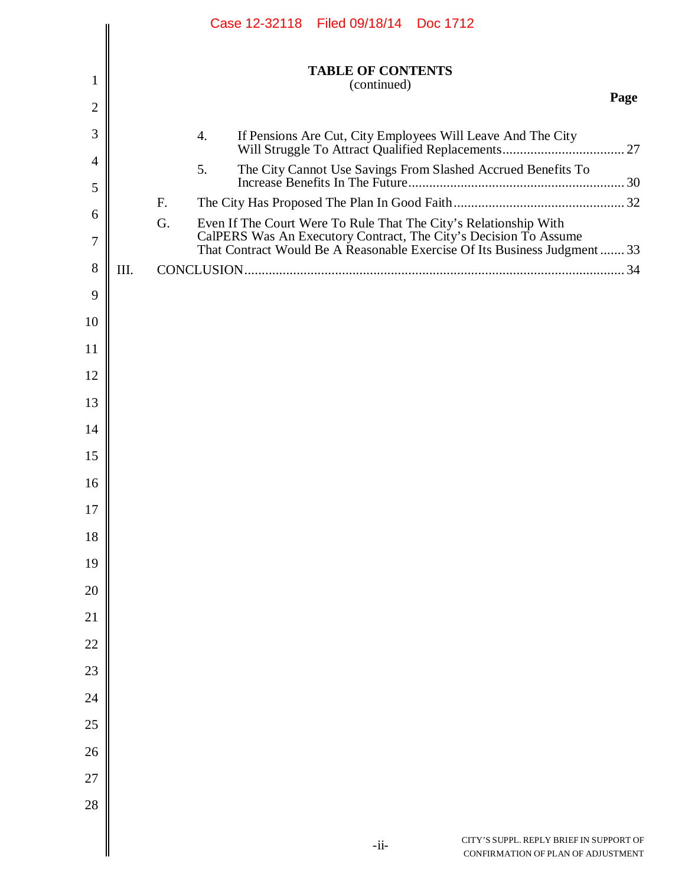|                |      |    | Case 12-32118 Filed 09/18/14 Doc 1712 |                                         |                                                                                                                                               |      |
|----------------|------|----|---------------------------------------|-----------------------------------------|-----------------------------------------------------------------------------------------------------------------------------------------------|------|
| 1              |      |    |                                       | <b>TABLE OF CONTENTS</b><br>(continued) |                                                                                                                                               |      |
| $\mathbf{2}$   |      |    |                                       |                                         |                                                                                                                                               | Page |
| 3              |      | 4. |                                       |                                         | If Pensions Are Cut, City Employees Will Leave And The City                                                                                   |      |
| $\overline{4}$ |      | 5. |                                       |                                         | The City Cannot Use Savings From Slashed Accrued Benefits To                                                                                  |      |
| 5              |      | F. |                                       |                                         |                                                                                                                                               |      |
| 6              |      | G. |                                       |                                         | Even If The Court Were To Rule That The City's Relationship With                                                                              |      |
| 7              |      |    |                                       |                                         | CalPERS Was An Executory Contract, The City's Decision To Assume<br>That Contract Would Be A Reasonable Exercise Of Its Business Judgment  33 |      |
| 8              | III. |    |                                       |                                         |                                                                                                                                               |      |
| 9              |      |    |                                       |                                         |                                                                                                                                               |      |
| 10             |      |    |                                       |                                         |                                                                                                                                               |      |
| 11             |      |    |                                       |                                         |                                                                                                                                               |      |
| 12             |      |    |                                       |                                         |                                                                                                                                               |      |
| 13             |      |    |                                       |                                         |                                                                                                                                               |      |
| 14             |      |    |                                       |                                         |                                                                                                                                               |      |
| 15<br>16       |      |    |                                       |                                         |                                                                                                                                               |      |
| 17             |      |    |                                       |                                         |                                                                                                                                               |      |
| 18             |      |    |                                       |                                         |                                                                                                                                               |      |
| 19             |      |    |                                       |                                         |                                                                                                                                               |      |
| 20             |      |    |                                       |                                         |                                                                                                                                               |      |
| 21             |      |    |                                       |                                         |                                                                                                                                               |      |
| 22             |      |    |                                       |                                         |                                                                                                                                               |      |
| 23             |      |    |                                       |                                         |                                                                                                                                               |      |
| 24             |      |    |                                       |                                         |                                                                                                                                               |      |
| 25             |      |    |                                       |                                         |                                                                                                                                               |      |
| 26             |      |    |                                       |                                         |                                                                                                                                               |      |
| 27             |      |    |                                       |                                         |                                                                                                                                               |      |
| 28             |      |    |                                       |                                         |                                                                                                                                               |      |
|                |      |    |                                       |                                         | CITY'S SUPPL. REPLY BRIEF IN SUPPORT OF                                                                                                       |      |
|                |      |    |                                       | $-i$ i-                                 | CONFIRMATION OF PLAN OF ADJUSTMENT                                                                                                            |      |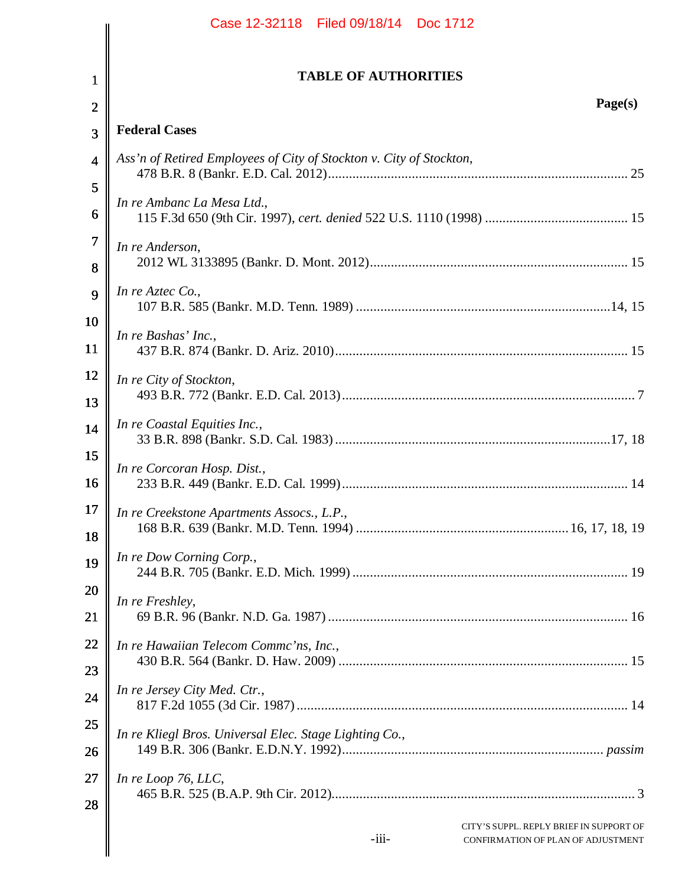|                               | Case 12-32118 Filed 09/18/14 Doc 1712                                                    |
|-------------------------------|------------------------------------------------------------------------------------------|
|                               |                                                                                          |
| $\mathbf 1$                   | <b>TABLE OF AUTHORITIES</b>                                                              |
| $\overline{2}$                | Page(s)                                                                                  |
| 3                             | <b>Federal Cases</b>                                                                     |
| 4                             | Ass'n of Retired Employees of City of Stockton v. City of Stockton,                      |
| 5                             | In re Ambanc La Mesa Ltd.,                                                               |
| 6                             |                                                                                          |
| $\overline{\mathcal{L}}$<br>8 | In re Anderson,                                                                          |
| 9                             | In re Aztec Co.,                                                                         |
| 10<br>11                      | In re Bashas' Inc.,                                                                      |
| 12<br>13                      | In re City of Stockton,                                                                  |
| 14                            | In re Coastal Equities Inc.,                                                             |
| 15<br>16                      | In re Corcoran Hosp. Dist.,                                                              |
| 17<br>18                      | In re Creekstone Apartments Assocs., L.P.,                                               |
| 19                            | In re Dow Corning Corp.,                                                                 |
| 20<br>21                      | In re Freshley,                                                                          |
| 22                            | In re Hawaiian Telecom Commc'ns, Inc.,                                                   |
| 23<br>24                      | In re Jersey City Med. Ctr.,                                                             |
| 25<br>26                      | In re Kliegl Bros. Universal Elec. Stage Lighting Co.,                                   |
| 27<br>28                      | In re Loop 76, LLC,                                                                      |
|                               | CITY'S SUPPL. REPLY BRIEF IN SUPPORT OF<br>$-iii-$<br>CONFIRMATION OF PLAN OF ADJUSTMENT |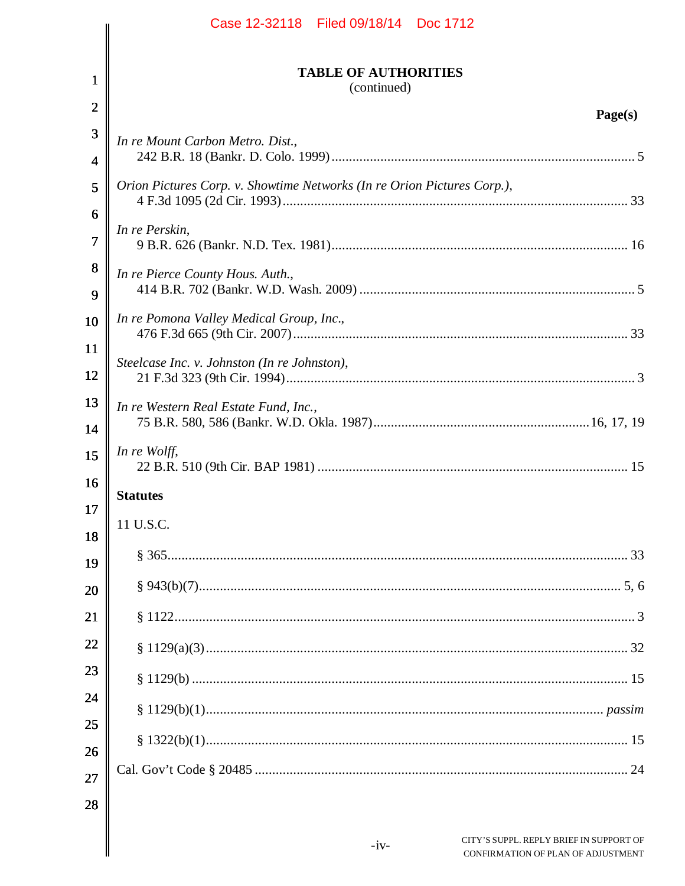|                | Case 12-32118 Filed 09/18/14 Doc 1712                                   |
|----------------|-------------------------------------------------------------------------|
| $\mathbf 1$    | <b>TABLE OF AUTHORITIES</b><br>(continued)                              |
| $\overline{2}$ | Page(s)                                                                 |
| 3              | In re Mount Carbon Metro. Dist.,                                        |
| 4              |                                                                         |
| 5              | Orion Pictures Corp. v. Showtime Networks (In re Orion Pictures Corp.), |
| 6              | In re Perskin,                                                          |
| 7              |                                                                         |
| 8              | In re Pierce County Hous. Auth.,                                        |
| 9              |                                                                         |
| 10             | In re Pomona Valley Medical Group, Inc.,                                |
| 11             |                                                                         |
| 12             | Steelcase Inc. v. Johnston (In re Johnston),                            |
| 13             | In re Western Real Estate Fund, Inc.,                                   |
| 14             |                                                                         |
| 15             | In re Wolff,                                                            |
| 16             | <b>Statutes</b>                                                         |
| 17             | 11 U.S.C.                                                               |
| 18             |                                                                         |
| 19<br>20       |                                                                         |
| 21             |                                                                         |
| 22             |                                                                         |
| 23             |                                                                         |
| 24             |                                                                         |
| 25             |                                                                         |
| 26             |                                                                         |
| 27             |                                                                         |
| 28             |                                                                         |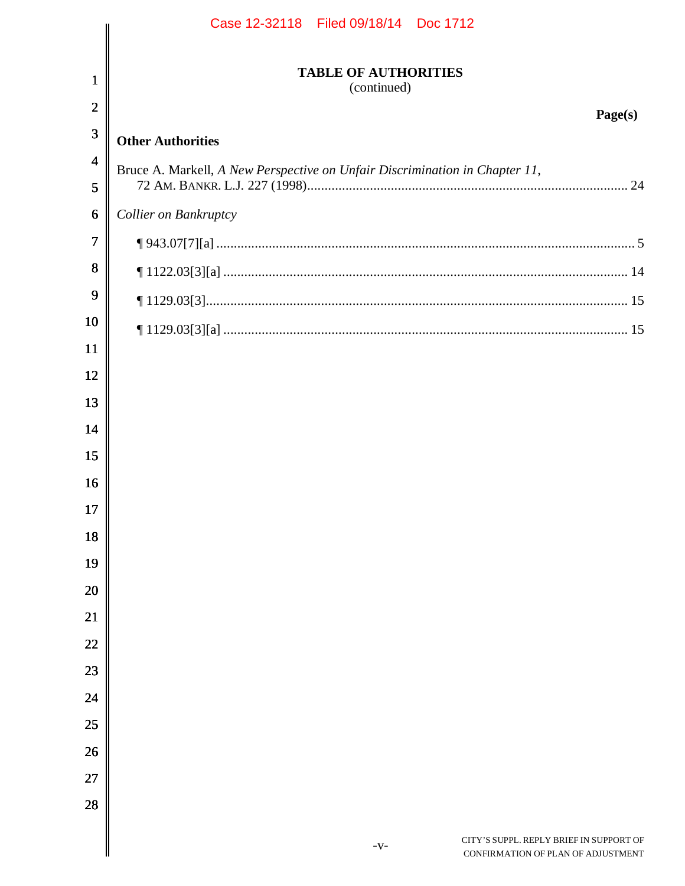|                         | Case 12-32118   Filed 09/18/14   Doc 1712                                               |
|-------------------------|-----------------------------------------------------------------------------------------|
| $\mathbf 1$             | <b>TABLE OF AUTHORITIES</b><br>(continued)                                              |
| $\overline{2}$          | Page(s)                                                                                 |
| 3                       | <b>Other Authorities</b>                                                                |
| $\overline{\mathbf{4}}$ | Bruce A. Markell, A New Perspective on Unfair Discrimination in Chapter 11,             |
| 5                       |                                                                                         |
| 6                       | Collier on Bankruptcy                                                                   |
| 7                       |                                                                                         |
| 8                       |                                                                                         |
| 9                       |                                                                                         |
| 10                      |                                                                                         |
| 11                      |                                                                                         |
| 12                      |                                                                                         |
| 13                      |                                                                                         |
| 14                      |                                                                                         |
| 15                      |                                                                                         |
| 16                      |                                                                                         |
| 17                      |                                                                                         |
| 18                      |                                                                                         |
| 19                      |                                                                                         |
| 20                      |                                                                                         |
| 21                      |                                                                                         |
| 22                      |                                                                                         |
| 23                      |                                                                                         |
| 24                      |                                                                                         |
| 25                      |                                                                                         |
| 26                      |                                                                                         |
| 27                      |                                                                                         |
| 28                      |                                                                                         |
|                         | CITY'S SUPPL. REPLY BRIEF IN SUPPORT OF<br>$-V$ -<br>CONFIRMATION OF PLAN OF ADJUSTMENT |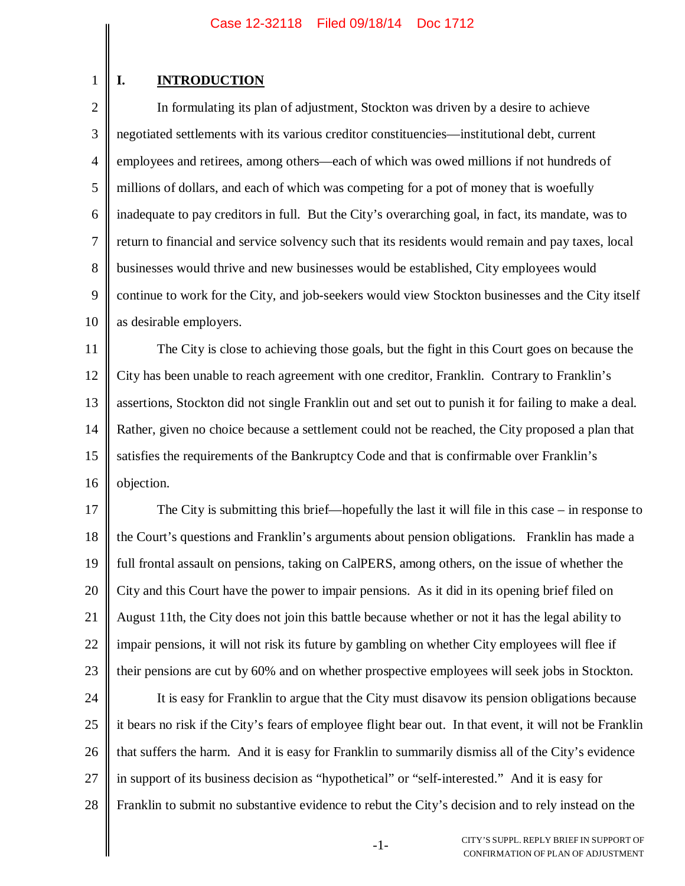# **I. INTRODUCTION**

1

2 3 4 5 6 7 8 9 10 In formulating its plan of adjustment, Stockton was driven by a desire to achieve negotiated settlements with its various creditor constituencies—institutional debt, current employees and retirees, among others—each of which was owed millions if not hundreds of millions of dollars, and each of which was competing for a pot of money that is woefully inadequate to pay creditors in full. But the City's overarching goal, in fact, its mandate, was to return to financial and service solvency such that its residents would remain and pay taxes, local businesses would thrive and new businesses would be established, City employees would continue to work for the City, and job-seekers would view Stockton businesses and the City itself as desirable employers.

11 12 13 14 15 16 The City is close to achieving those goals, but the fight in this Court goes on because the City has been unable to reach agreement with one creditor, Franklin. Contrary to Franklin's assertions, Stockton did not single Franklin out and set out to punish it for failing to make a deal. Rather, given no choice because a settlement could not be reached, the City proposed a plan that satisfies the requirements of the Bankruptcy Code and that is confirmable over Franklin's objection.

17 18 19 20 21 22 23 The City is submitting this brief—hopefully the last it will file in this case – in response to the Court's questions and Franklin's arguments about pension obligations. Franklin has made a full frontal assault on pensions, taking on CalPERS, among others, on the issue of whether the City and this Court have the power to impair pensions. As it did in its opening brief filed on August 11th, the City does not join this battle because whether or not it has the legal ability to impair pensions, it will not risk its future by gambling on whether City employees will flee if their pensions are cut by 60% and on whether prospective employees will seek jobs in Stockton.

24 25 26 27 28 It is easy for Franklin to argue that the City must disavow its pension obligations because it bears no risk if the City's fears of employee flight bear out. In that event, it will not be Franklin that suffers the harm. And it is easy for Franklin to summarily dismiss all of the City's evidence in support of its business decision as "hypothetical" or "self-interested." And it is easy for Franklin to submit no substantive evidence to rebut the City's decision and to rely instead on the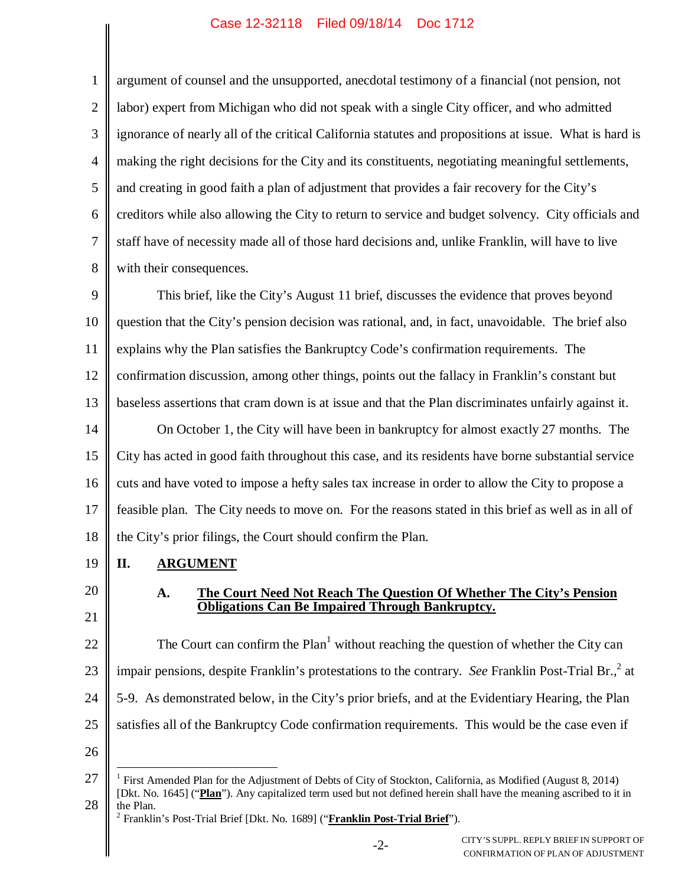1 2 3 4 5 6 7 8 argument of counsel and the unsupported, anecdotal testimony of a financial (not pension, not labor) expert from Michigan who did not speak with a single City officer, and who admitted ignorance of nearly all of the critical California statutes and propositions at issue. What is hard is making the right decisions for the City and its constituents, negotiating meaningful settlements, and creating in good faith a plan of adjustment that provides a fair recovery for the City's creditors while also allowing the City to return to service and budget solvency. City officials and staff have of necessity made all of those hard decisions and, unlike Franklin, will have to live with their consequences.

9 10 11 12 13 14 15 16 17 18 This brief, like the City's August 11 brief, discusses the evidence that proves beyond question that the City's pension decision was rational, and, in fact, unavoidable. The brief also explains why the Plan satisfies the Bankruptcy Code's confirmation requirements. The confirmation discussion, among other things, points out the fallacy in Franklin's constant but baseless assertions that cram down is at issue and that the Plan discriminates unfairly against it. On October 1, the City will have been in bankruptcy for almost exactly 27 months. The City has acted in good faith throughout this case, and its residents have borne substantial service cuts and have voted to impose a hefty sales tax increase in order to allow the City to propose a feasible plan. The City needs to move on. For the reasons stated in this brief as well as in all of the City's prior filings, the Court should confirm the Plan.

- 19 **II. ARGUMENT**
- 20 21

# **A. The Court Need Not Reach The Question Of Whether The City's Pension Obligations Can Be Impaired Through Bankruptcy.**

22 23 24 25 The Court can confirm the  $Plan<sup>1</sup>$  without reaching the question of whether the City can impair pensions, despite Franklin's protestations to the contrary. See Franklin Post-Trial Br.,<sup>2</sup> at 5-9. As demonstrated below, in the City's prior briefs, and at the Evidentiary Hearing, the Plan satisfies all of the Bankruptcy Code confirmation requirements. This would be the case even if

<sup>27</sup> 28 1 First Amended Plan for the Adjustment of Debts of City of Stockton, California, as Modified (August 8, 2014) [Dkt. No. 1645] ("**Plan**"). Any capitalized term used but not defined herein shall have the meaning ascribed to it in the Plan. 2 Franklin's Post-Trial Brief [Dkt. No. 1689] ("**Franklin Post-Trial Brief**").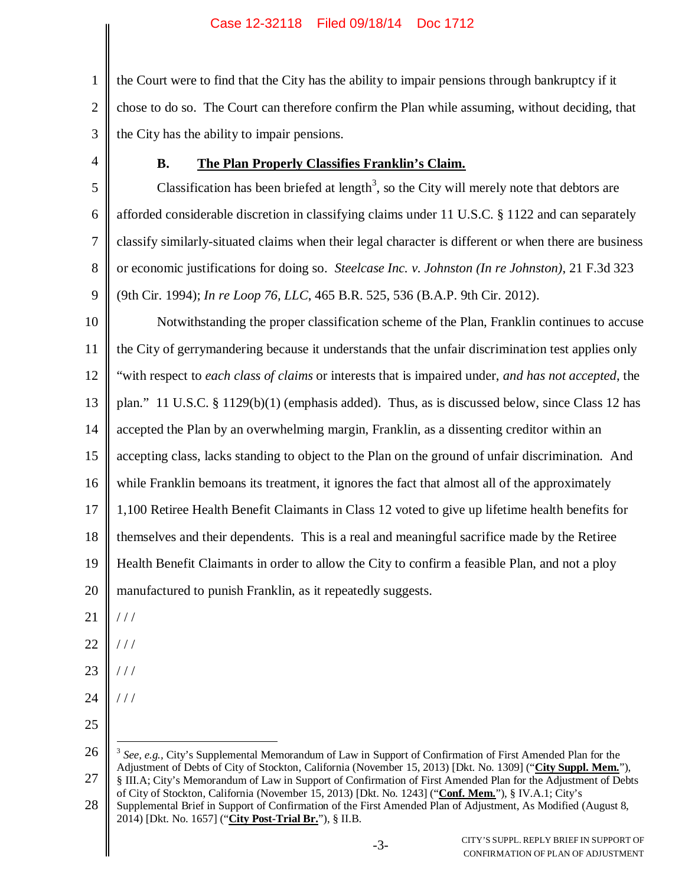1 2 3 the Court were to find that the City has the ability to impair pensions through bankruptcy if it chose to do so. The Court can therefore confirm the Plan while assuming, without deciding, that the City has the ability to impair pensions.

4

# **B. The Plan Properly Classifies Franklin's Claim.**

5 6 7 8 9 Classification has been briefed at length<sup>3</sup>, so the City will merely note that debtors are afforded considerable discretion in classifying claims under 11 U.S.C. § 1122 and can separately classify similarly-situated claims when their legal character is different or when there are business or economic justifications for doing so. *Steelcase Inc. v. Johnston (In re Johnston)*, 21 F.3d 323 (9th Cir. 1994); *In re Loop 76, LLC*, 465 B.R. 525, 536 (B.A.P. 9th Cir. 2012).

10 11 12 13 14 15 16 17 18 19 20 Notwithstanding the proper classification scheme of the Plan, Franklin continues to accuse the City of gerrymandering because it understands that the unfair discrimination test applies only "with respect to *each class of claims* or interests that is impaired under, *and has not accepted*, the plan." 11 U.S.C. § 1129(b)(1) (emphasis added). Thus, as is discussed below, since Class 12 has accepted the Plan by an overwhelming margin, Franklin, as a dissenting creditor within an accepting class, lacks standing to object to the Plan on the ground of unfair discrimination. And while Franklin bemoans its treatment, it ignores the fact that almost all of the approximately 1,100 Retiree Health Benefit Claimants in Class 12 voted to give up lifetime health benefits for themselves and their dependents. This is a real and meaningful sacrifice made by the Retiree Health Benefit Claimants in order to allow the City to confirm a feasible Plan, and not a ploy manufactured to punish Franklin, as it repeatedly suggests.

- 21  $/ / /$
- 22 / / /
- 23 / / /
- 24 / / /
- 25

<sup>26</sup> 27 <sup>3</sup> See, e.g., City's Supplemental Memorandum of Law in Support of Confirmation of First Amended Plan for the Adjustment of Debts of City of Stockton, California (November 15, 2013) [Dkt. No. 1309] ("**City Suppl. Mem.**"), § III.A; City's Memorandum of Law in Support of Confirmation of First Amended Plan for the Adjustment of Debts

<sup>28</sup> of City of Stockton, California (November 15, 2013) [Dkt. No. 1243] ("**Conf. Mem.**"), § IV.A.1; City's Supplemental Brief in Support of Confirmation of the First Amended Plan of Adjustment, As Modified (August 8, 2014) [Dkt. No. 1657] ("**City Post-Trial Br.**"), § II.B.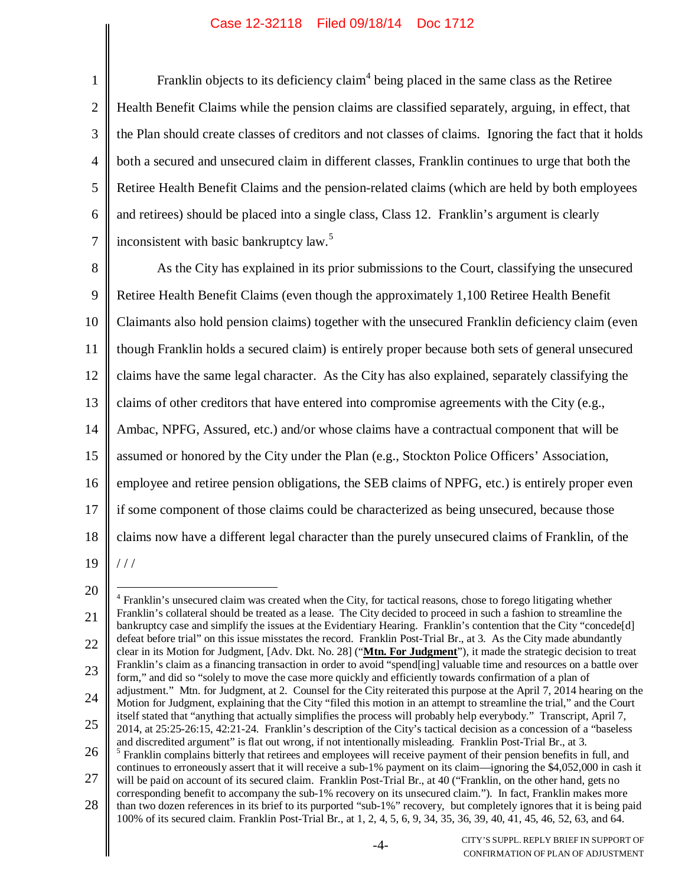1 2 3 4 5 6 7 Franklin objects to its deficiency claim<sup>4</sup> being placed in the same class as the Retiree Health Benefit Claims while the pension claims are classified separately, arguing, in effect, that the Plan should create classes of creditors and not classes of claims. Ignoring the fact that it holds both a secured and unsecured claim in different classes, Franklin continues to urge that both the Retiree Health Benefit Claims and the pension-related claims (which are held by both employees and retirees) should be placed into a single class, Class 12. Franklin's argument is clearly inconsistent with basic bankruptcy law.<sup>5</sup>

8 9 10 11 12 13 14 15 16 17 18 19 As the City has explained in its prior submissions to the Court, classifying the unsecured Retiree Health Benefit Claims (even though the approximately 1,100 Retiree Health Benefit Claimants also hold pension claims) together with the unsecured Franklin deficiency claim (even though Franklin holds a secured claim) is entirely proper because both sets of general unsecured claims have the same legal character. As the City has also explained, separately classifying the claims of other creditors that have entered into compromise agreements with the City (e.g., Ambac, NPFG, Assured, etc.) and/or whose claims have a contractual component that will be assumed or honored by the City under the Plan (e.g., Stockton Police Officers' Association, employee and retiree pension obligations, the SEB claims of NPFG, etc.) is entirely proper even if some component of those claims could be characterized as being unsecured, because those claims now have a different legal character than the purely unsecured claims of Franklin, of the  $/$   $/$ 

<sup>21</sup> 22 23 24 25 26 27 28 <sup>4</sup> Franklin's unsecured claim was created when the City, for tactical reasons, chose to forego litigating whether Franklin's collateral should be treated as a lease. The City decided to proceed in such a fashion to streamline the bankruptcy case and simplify the issues at the Evidentiary Hearing. Franklin's contention that the City "concede[d] defeat before trial" on this issue misstates the record. Franklin Post-Trial Br., at 3. As the City made abundantly clear in its Motion for Judgment, [Adv. Dkt. No. 28] ("**Mtn. For Judgment**"), it made the strategic decision to treat Franklin's claim as a financing transaction in order to avoid "spend[ing] valuable time and resources on a battle over form," and did so "solely to move the case more quickly and efficiently towards confirmation of a plan of adjustment." Mtn. for Judgment, at 2. Counsel for the City reiterated this purpose at the April 7, 2014 hearing on the Motion for Judgment, explaining that the City "filed this motion in an attempt to streamline the trial," and the Court itself stated that "anything that actually simplifies the process will probably help everybody." Transcript, April 7, 2014, at 25:25-26:15, 42:21-24. Franklin's description of the City's tactical decision as a concession of a "baseless and discredited argument" is flat out wrong, if not intentionally misleading. Franklin Post-Trial Br., at 3. <sup>5</sup> Franklin complains bitterly that retirees and employees will receive payment of their pension benefits in full, and continues to erroneously assert that it will receive a sub-1% payment on its claim—ignoring the \$4,052,000 in cash it will be paid on account of its secured claim. Franklin Post-Trial Br., at 40 ("Franklin, on the other hand, gets no corresponding benefit to accompany the sub-1% recovery on its unsecured claim."). In fact, Franklin makes more than two dozen references in its brief to its purported "sub-1%" recovery, but completely ignores that it is being paid 100% of its secured claim. Franklin Post-Trial Br., at 1, 2, 4, 5, 6, 9, 34, 35, 36, 39, 40, 41, 45, 46, 52, 63, and 64.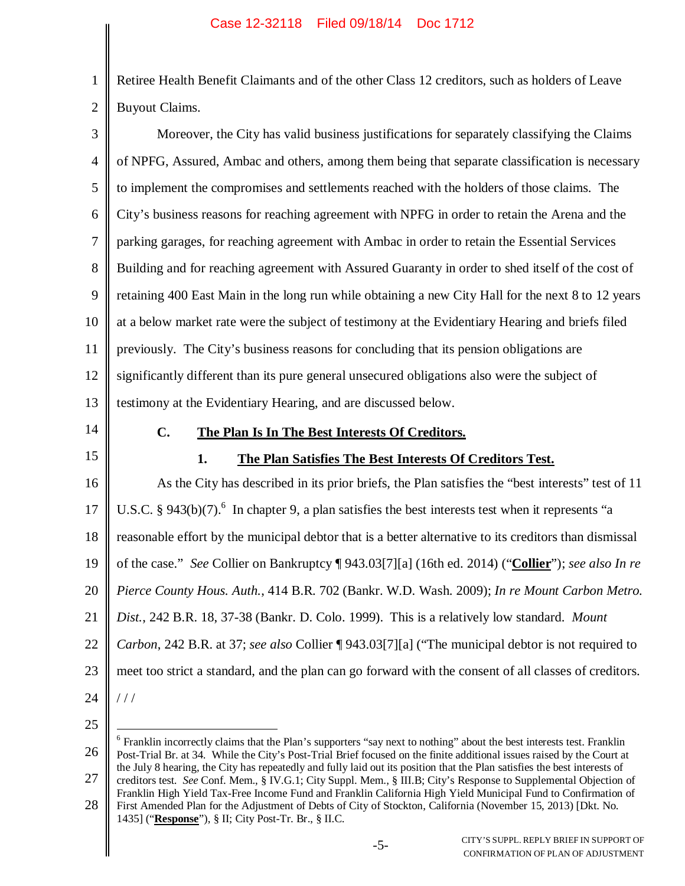2 Retiree Health Benefit Claimants and of the other Class 12 creditors, such as holders of Leave Buyout Claims.

| $\mathfrak{Z}$                               | Moreover, the City has valid business justifications for separately classifying the Claims              |
|----------------------------------------------|---------------------------------------------------------------------------------------------------------|
| $\overline{4}$                               | of NPFG, Assured, Ambac and others, among them being that separate classification is necessary          |
| $\mathfrak{S}$                               | to implement the compromises and settlements reached with the holders of those claims. The              |
| 6                                            | City's business reasons for reaching agreement with NPFG in order to retain the Arena and the           |
| $\tau$                                       | parking garages, for reaching agreement with Ambac in order to retain the Essential Services            |
| 8                                            | Building and for reaching agreement with Assured Guaranty in order to shed itself of the cost of        |
| 9                                            | retaining 400 East Main in the long run while obtaining a new City Hall for the next 8 to 12 years      |
| 10                                           | at a below market rate were the subject of testimony at the Evidentiary Hearing and briefs filed        |
| 11                                           | previously. The City's business reasons for concluding that its pension obligations are                 |
| 12                                           | significantly different than its pure general unsecured obligations also were the subject of            |
| 13                                           | testimony at the Evidentiary Hearing, and are discussed below.                                          |
|                                              |                                                                                                         |
|                                              | C.<br>The Plan Is In The Best Interests Of Creditors.                                                   |
|                                              | 1.<br>The Plan Satisfies The Best Interests Of Creditors Test.                                          |
|                                              | As the City has described in its prior briefs, the Plan satisfies the "best interests" test of 11       |
|                                              | U.S.C. § 943(b)(7). $^{6}$ In chapter 9, a plan satisfies the best interests test when it represents "a |
|                                              | reasonable effort by the municipal debtor that is a better alternative to its creditors than dismissal  |
|                                              | of the case." See Collier on Bankruptcy [943.03[7][a] (16th ed. 2014) ("Collier"); see also In re       |
|                                              | Pierce County Hous. Auth., 414 B.R. 702 (Bankr. W.D. Wash. 2009); In re Mount Carbon Metro.             |
| 14<br>15<br>16<br>17<br>18<br>19<br>20<br>21 | Dist., 242 B.R. 18, 37-38 (Bankr. D. Colo. 1999). This is a relatively low standard. Mount              |
| 22                                           | Carbon, 242 B.R. at 37; see also Collier [943.03[7][a] ("The municipal debtor is not required to        |
| 23                                           | meet too strict a standard, and the plan can go forward with the consent of all classes of creditors.   |

25

<sup>26</sup> 27 <sup>6</sup> Franklin incorrectly claims that the Plan's supporters "say next to nothing" about the best interests test. Franklin Post-Trial Br. at 34. While the City's Post-Trial Brief focused on the finite additional issues raised by the Court at the July 8 hearing, the City has repeatedly and fully laid out its position that the Plan satisfies the best interests of creditors test. *See* Conf. Mem., § IV.G.1; City Suppl. Mem., § III.B; City's Response to Supplemental Objection of

<sup>28</sup> Franklin High Yield Tax-Free Income Fund and Franklin California High Yield Municipal Fund to Confirmation of First Amended Plan for the Adjustment of Debts of City of Stockton, California (November 15, 2013) [Dkt. No. 1435] ("**Response**"), § II; City Post-Tr. Br., § II.C.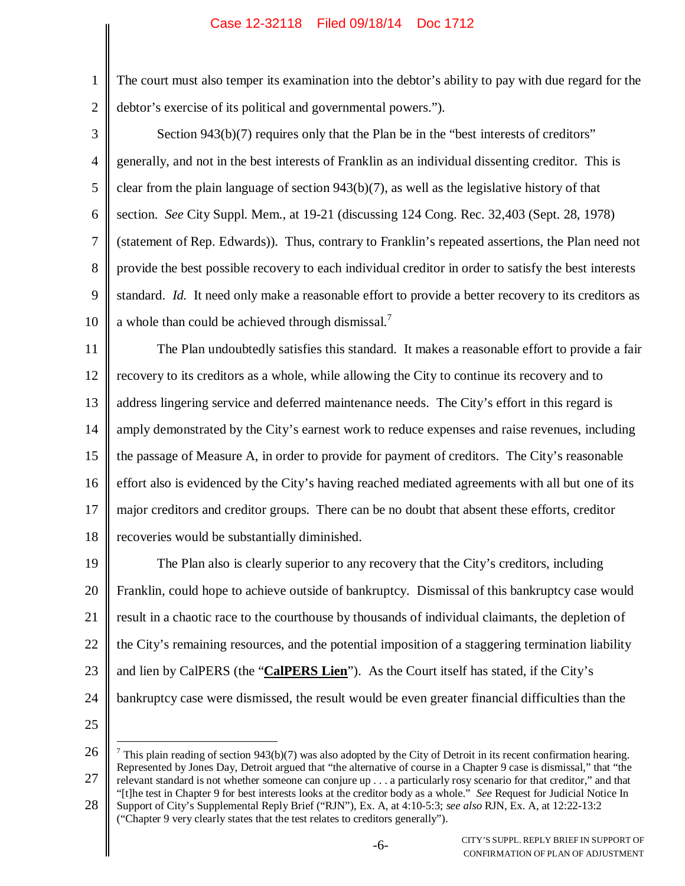1 2

The court must also temper its examination into the debtor's ability to pay with due regard for the debtor's exercise of its political and governmental powers.").

- 3 4 5 6 7 8 9 10 Section 943(b)(7) requires only that the Plan be in the "best interests of creditors" generally, and not in the best interests of Franklin as an individual dissenting creditor. This is clear from the plain language of section 943(b)(7), as well as the legislative history of that section. *See* City Suppl. Mem., at 19-21 (discussing 124 Cong. Rec. 32,403 (Sept. 28, 1978) (statement of Rep. Edwards)). Thus, contrary to Franklin's repeated assertions, the Plan need not provide the best possible recovery to each individual creditor in order to satisfy the best interests standard. *Id.* It need only make a reasonable effort to provide a better recovery to its creditors as a whole than could be achieved through dismissal.<sup>7</sup>
- 11 12 13 14 15 16 17 18 The Plan undoubtedly satisfies this standard. It makes a reasonable effort to provide a fair recovery to its creditors as a whole, while allowing the City to continue its recovery and to address lingering service and deferred maintenance needs. The City's effort in this regard is amply demonstrated by the City's earnest work to reduce expenses and raise revenues, including the passage of Measure A, in order to provide for payment of creditors. The City's reasonable effort also is evidenced by the City's having reached mediated agreements with all but one of its major creditors and creditor groups. There can be no doubt that absent these efforts, creditor recoveries would be substantially diminished.
- 19 20 21 22 23 24 The Plan also is clearly superior to any recovery that the City's creditors, including Franklin, could hope to achieve outside of bankruptcy. Dismissal of this bankruptcy case would result in a chaotic race to the courthouse by thousands of individual claimants, the depletion of the City's remaining resources, and the potential imposition of a staggering termination liability and lien by CalPERS (the "**CalPERS Lien**"). As the Court itself has stated, if the City's bankruptcy case were dismissed, the result would be even greater financial difficulties than the
- 25

<sup>26</sup> 27 <sup>7</sup> This plain reading of section 943(b)(7) was also adopted by the City of Detroit in its recent confirmation hearing. Represented by Jones Day, Detroit argued that "the alternative of course in a Chapter 9 case is dismissal," that "the relevant standard is not whether someone can conjure up . . . a particularly rosy scenario for that creditor," and that "[t]he test in Chapter 9 for best interests looks at the creditor body as a whole." *See* Request for Judicial Notice In

<sup>28</sup> Support of City's Supplemental Reply Brief ("RJN"), Ex. A, at 4:10-5:3; *see also* RJN, Ex. A, at 12:22-13:2 ("Chapter 9 very clearly states that the test relates to creditors generally").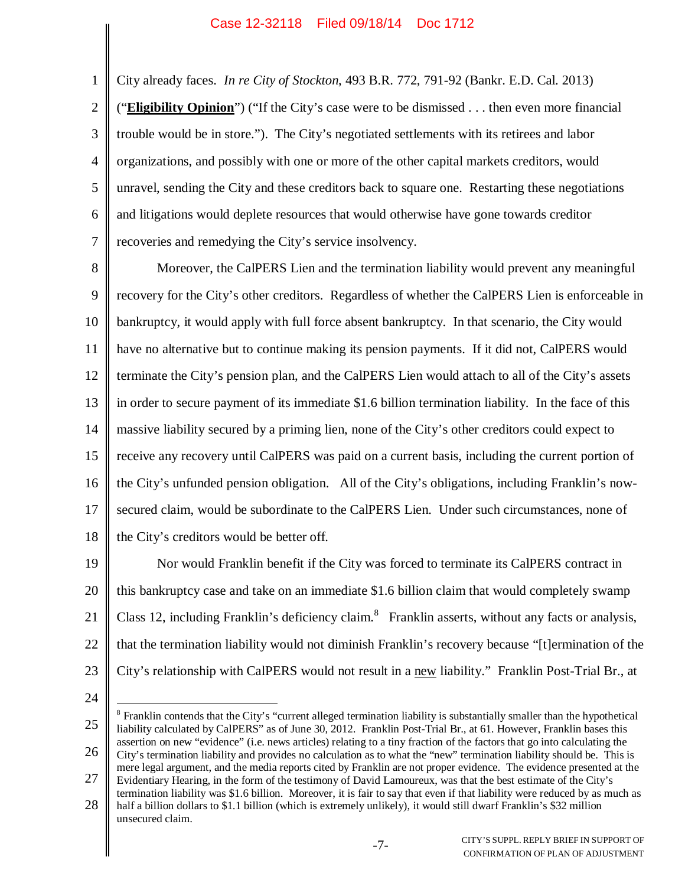City already faces. *In re City of Stockton*, 493 B.R. 772, 791-92 (Bankr. E.D. Cal. 2013)

2 3 4 5 6 7 ("**Eligibility Opinion**") ("If the City's case were to be dismissed . . . then even more financial trouble would be in store."). The City's negotiated settlements with its retirees and labor organizations, and possibly with one or more of the other capital markets creditors, would unravel, sending the City and these creditors back to square one. Restarting these negotiations and litigations would deplete resources that would otherwise have gone towards creditor recoveries and remedying the City's service insolvency.

8 9 10 11 12 13 14 15 16 17 18 Moreover, the CalPERS Lien and the termination liability would prevent any meaningful recovery for the City's other creditors. Regardless of whether the CalPERS Lien is enforceable in bankruptcy, it would apply with full force absent bankruptcy. In that scenario, the City would have no alternative but to continue making its pension payments. If it did not, CalPERS would terminate the City's pension plan, and the CalPERS Lien would attach to all of the City's assets in order to secure payment of its immediate \$1.6 billion termination liability. In the face of this massive liability secured by a priming lien, none of the City's other creditors could expect to receive any recovery until CalPERS was paid on a current basis, including the current portion of the City's unfunded pension obligation. All of the City's obligations, including Franklin's nowsecured claim, would be subordinate to the CalPERS Lien. Under such circumstances, none of the City's creditors would be better off.

19 20 21 22 23 Nor would Franklin benefit if the City was forced to terminate its CalPERS contract in this bankruptcy case and take on an immediate \$1.6 billion claim that would completely swamp Class 12, including Franklin's deficiency claim.<sup>8</sup> Franklin asserts, without any facts or analysis, that the termination liability would not diminish Franklin's recovery because "[t]ermination of the City's relationship with CalPERS would not result in a new liability." Franklin Post-Trial Br., at

24

<sup>25</sup> 26 27 <sup>8</sup> Franklin contends that the City's "current alleged termination liability is substantially smaller than the hypothetical liability calculated by CalPERS" as of June 30, 2012. Franklin Post-Trial Br., at 61. However, Franklin bases this assertion on new "evidence" (i.e. news articles) relating to a tiny fraction of the factors that go into calculating the City's termination liability and provides no calculation as to what the "new" termination liability should be. This is mere legal argument, and the media reports cited by Franklin are not proper evidence. The evidence presented at the Evidentiary Hearing, in the form of the testimony of David Lamoureux, was that the best estimate of the City's

<sup>28</sup> termination liability was \$1.6 billion. Moreover, it is fair to say that even if that liability were reduced by as much as

half a billion dollars to \$1.1 billion (which is extremely unlikely), it would still dwarf Franklin's \$32 million unsecured claim.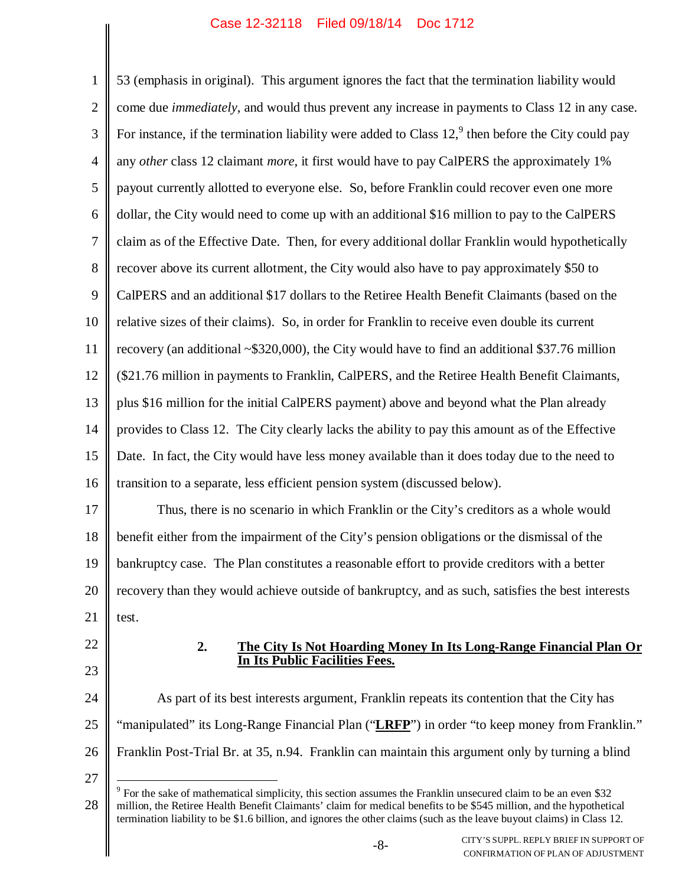1 2 3 4 5 6 7 8 9 10 11 12 13 14 15 16 17 18 19 20 21 22 23 24 25 26 27 53 (emphasis in original). This argument ignores the fact that the termination liability would come due *immediately*, and would thus prevent any increase in payments to Class 12 in any case. For instance, if the termination liability were added to Class  $12<sup>9</sup>$ , then before the City could pay any *other* class 12 claimant *more*, it first would have to pay CalPERS the approximately 1% payout currently allotted to everyone else. So, before Franklin could recover even one more dollar, the City would need to come up with an additional \$16 million to pay to the CalPERS claim as of the Effective Date. Then, for every additional dollar Franklin would hypothetically recover above its current allotment, the City would also have to pay approximately \$50 to CalPERS and an additional \$17 dollars to the Retiree Health Benefit Claimants (based on the relative sizes of their claims). So, in order for Franklin to receive even double its current recovery (an additional ~\$320,000), the City would have to find an additional \$37.76 million (\$21.76 million in payments to Franklin, CalPERS, and the Retiree Health Benefit Claimants, plus \$16 million for the initial CalPERS payment) above and beyond what the Plan already provides to Class 12. The City clearly lacks the ability to pay this amount as of the Effective Date. In fact, the City would have less money available than it does today due to the need to transition to a separate, less efficient pension system (discussed below). Thus, there is no scenario in which Franklin or the City's creditors as a whole would benefit either from the impairment of the City's pension obligations or the dismissal of the bankruptcy case. The Plan constitutes a reasonable effort to provide creditors with a better recovery than they would achieve outside of bankruptcy, and as such, satisfies the best interests test. **2. The City Is Not Hoarding Money In Its Long-Range Financial Plan Or In Its Public Facilities Fees.** As part of its best interests argument, Franklin repeats its contention that the City has "manipulated" its Long-Range Financial Plan ("LRFP") in order "to keep money from Franklin." Franklin Post-Trial Br. at 35, n.94. Franklin can maintain this argument only by turning a blind

<sup>28</sup> <sup>9</sup> For the sake of mathematical simplicity, this section assumes the Franklin unsecured claim to be an even \$32 million, the Retiree Health Benefit Claimants' claim for medical benefits to be \$545 million, and the hypothetical termination liability to be \$1.6 billion, and ignores the other claims (such as the leave buyout claims) in Class 12.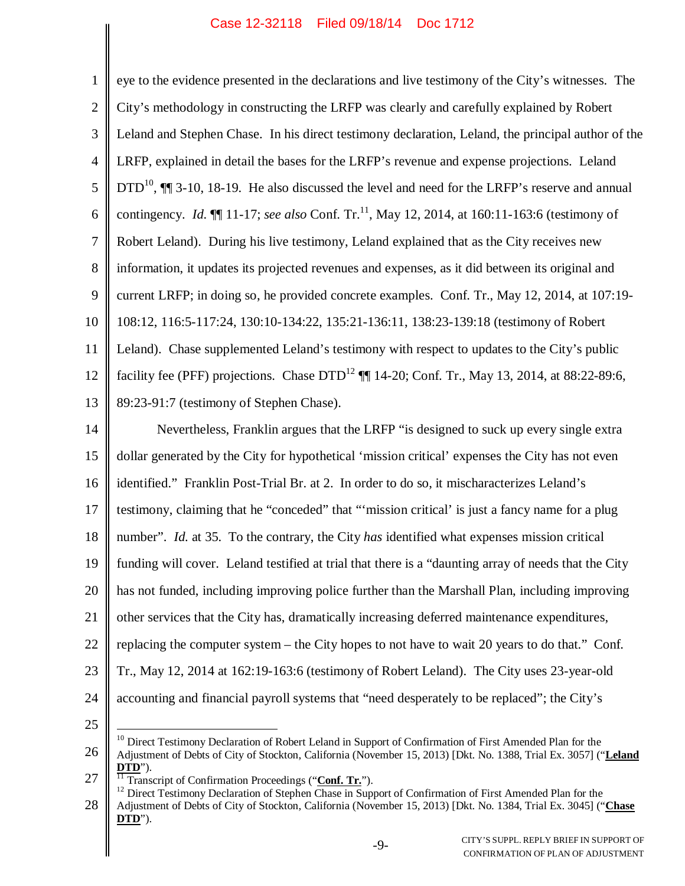| $\mathbf{1}$   | eye to the evidence presented in the declarations and live testimony of the City's witnesses. The                         |
|----------------|---------------------------------------------------------------------------------------------------------------------------|
| $\overline{2}$ | City's methodology in constructing the LRFP was clearly and carefully explained by Robert                                 |
| 3              | Leland and Stephen Chase. In his direct testimony declaration, Leland, the principal author of the                        |
| $\overline{4}$ | LRFP, explained in detail the bases for the LRFP's revenue and expense projections. Leland                                |
| 5              | $DTD^{10}$ , $\P\P$ 3-10, 18-19. He also discussed the level and need for the LRFP's reserve and annual                   |
| 6              | contingency. <i>Id.</i> $\P$ 11-17; <i>see also</i> Conf. Tr. <sup>11</sup> , May 12, 2014, at 160:11-163:6 (testimony of |
| $\tau$         | Robert Leland). During his live testimony, Leland explained that as the City receives new                                 |
| $8\phantom{1}$ | information, it updates its projected revenues and expenses, as it did between its original and                           |
| $\overline{9}$ | current LRFP; in doing so, he provided concrete examples. Conf. Tr., May 12, 2014, at 107:19-                             |
| 10             | 108:12, 116:5-117:24, 130:10-134:22, 135:21-136:11, 138:23-139:18 (testimony of Robert                                    |
| 11             | Leland). Chase supplemented Leland's testimony with respect to updates to the City's public                               |
| 12             | facility fee (PFF) projections. Chase DTD <sup>12</sup> ¶ 14-20; Conf. Tr., May 13, 2014, at 88:22-89:6,                  |
| 13             | 89:23-91:7 (testimony of Stephen Chase).                                                                                  |
| 14             | Nevertheless, Franklin argues that the LRFP "is designed to suck up every single extra                                    |
| 15             | dollar generated by the City for hypothetical 'mission critical' expenses the City has not even                           |
| 16             | identified." Franklin Post-Trial Br. at 2. In order to do so, it mischaracterizes Leland's                                |
| 17             | testimony, claiming that he "conceded" that ""mission critical" is just a fancy name for a plug                           |
| 18             | number". <i>Id.</i> at 35. To the contrary, the City has identified what expenses mission critical                        |
| 19             | funding will cover. Leland testified at trial that there is a "daunting array of needs that the City                      |
| 20             | has not funded, including improving police further than the Marshall Plan, including improving                            |
| 21             | other services that the City has, dramatically increasing deferred maintenance expenditures,                              |
| 22             | replacing the computer system – the City hopes to not have to wait 20 years to do that." Conf.                            |
| 23             | Tr., May 12, 2014 at 162:19-163:6 (testimony of Robert Leland). The City uses 23-year-old                                 |
| 24             | accounting and financial payroll systems that "need desperately to be replaced"; the City's                               |
| 25             |                                                                                                                           |

<sup>26</sup> <sup>10</sup> Direct Testimony Declaration of Robert Leland in Support of Confirmation of First Amended Plan for the Adjustment of Debts of City of Stockton, California (November 15, 2013) [Dkt. No. 1388, Trial Ex. 3057] ("**Leland DTD**").

<sup>27</sup> <sup>11</sup> Transcript of Confirmation Proceedings ("Conf. Tr.").

<sup>28</sup> <sup>12</sup> Direct Testimony Declaration of Stephen Chase in Support of Confirmation of First Amended Plan for the Adjustment of Debts of City of Stockton, California (November 15, 2013) [Dkt. No. 1384, Trial Ex. 3045] ("**Chase DTD**").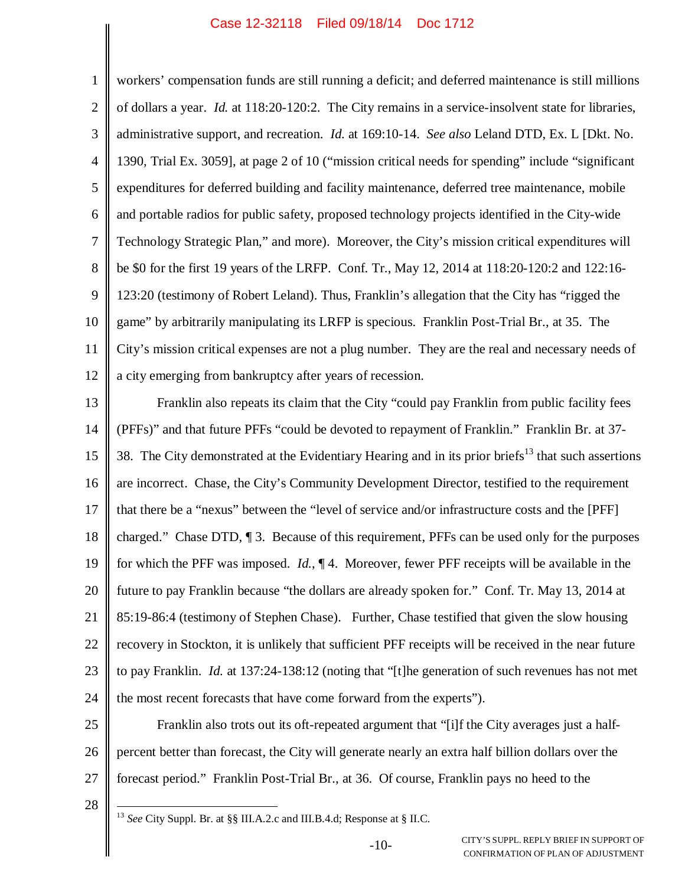1 2 3 4 5 6 7 8 9 10 11 12 workers' compensation funds are still running a deficit; and deferred maintenance is still millions of dollars a year. *Id.* at 118:20-120:2. The City remains in a service-insolvent state for libraries, administrative support, and recreation. *Id.* at 169:10-14. *See also* Leland DTD, Ex. L [Dkt. No. 1390, Trial Ex. 3059], at page 2 of 10 ("mission critical needs for spending" include "significant expenditures for deferred building and facility maintenance, deferred tree maintenance, mobile and portable radios for public safety, proposed technology projects identified in the City-wide Technology Strategic Plan," and more). Moreover, the City's mission critical expenditures will be \$0 for the first 19 years of the LRFP. Conf. Tr., May 12, 2014 at 118:20-120:2 and 122:16- 123:20 (testimony of Robert Leland). Thus, Franklin's allegation that the City has "rigged the game" by arbitrarily manipulating its LRFP is specious. Franklin Post-Trial Br., at 35. The City's mission critical expenses are not a plug number. They are the real and necessary needs of a city emerging from bankruptcy after years of recession.

13 14 15 16 17 18 19 20 21 22 23 24 Franklin also repeats its claim that the City "could pay Franklin from public facility fees (PFFs)" and that future PFFs "could be devoted to repayment of Franklin." Franklin Br. at 37- 38. The City demonstrated at the Evidentiary Hearing and in its prior briefs<sup>13</sup> that such assertions are incorrect. Chase, the City's Community Development Director, testified to the requirement that there be a "nexus" between the "level of service and/or infrastructure costs and the [PFF] charged." Chase DTD, ¶ 3. Because of this requirement, PFFs can be used only for the purposes for which the PFF was imposed. *Id.*, ¶ 4. Moreover, fewer PFF receipts will be available in the future to pay Franklin because "the dollars are already spoken for." Conf. Tr. May 13, 2014 at 85:19-86:4 (testimony of Stephen Chase). Further, Chase testified that given the slow housing recovery in Stockton, it is unlikely that sufficient PFF receipts will be received in the near future to pay Franklin. *Id.* at 137:24-138:12 (noting that "[t]he generation of such revenues has not met the most recent forecasts that have come forward from the experts").

25 26 27 Franklin also trots out its oft-repeated argument that "[i]f the City averages just a halfpercent better than forecast, the City will generate nearly an extra half billion dollars over the forecast period." Franklin Post-Trial Br., at 36. Of course, Franklin pays no heed to the

28

<sup>13</sup> *See* City Suppl. Br. at §§ III.A.2.c and III.B.4.d; Response at § II.C.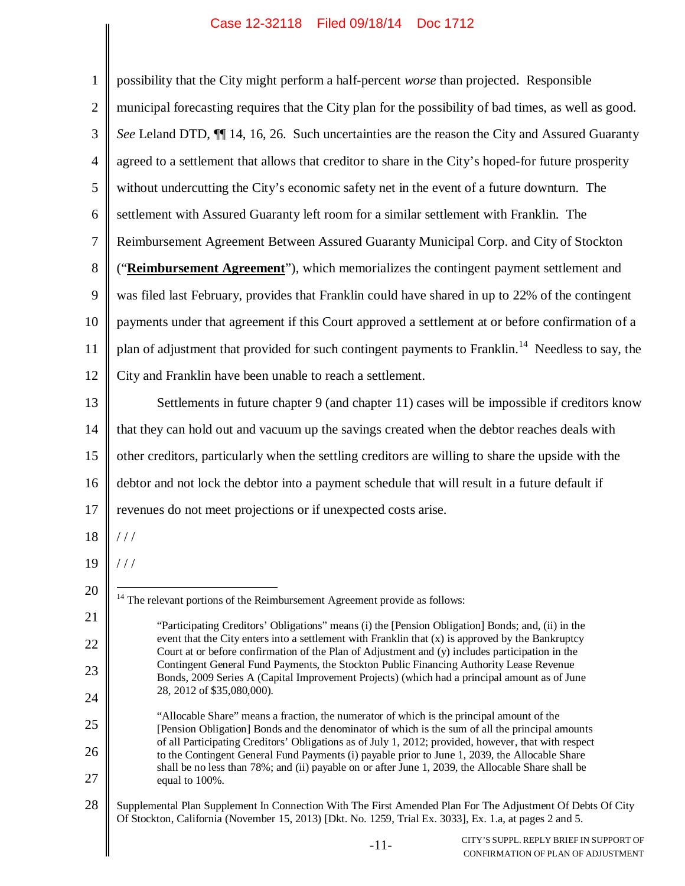| $\mathbf{1}$   | possibility that the City might perform a half-percent worse than projected. Responsible                                                                                                                              |
|----------------|-----------------------------------------------------------------------------------------------------------------------------------------------------------------------------------------------------------------------|
| $\overline{2}$ | municipal forecasting requires that the City plan for the possibility of bad times, as well as good.                                                                                                                  |
| $\mathfrak{Z}$ | See Leland DTD, II 14, 16, 26. Such uncertainties are the reason the City and Assured Guaranty                                                                                                                        |
| $\overline{4}$ | agreed to a settlement that allows that creditor to share in the City's hoped-for future prosperity                                                                                                                   |
| $\mathfrak{S}$ | without undercutting the City's economic safety net in the event of a future downturn. The                                                                                                                            |
| 6              | settlement with Assured Guaranty left room for a similar settlement with Franklin. The                                                                                                                                |
| $\tau$         | Reimbursement Agreement Between Assured Guaranty Municipal Corp. and City of Stockton                                                                                                                                 |
| 8              | ("Reimbursement Agreement"), which memorializes the contingent payment settlement and                                                                                                                                 |
| 9              | was filed last February, provides that Franklin could have shared in up to 22% of the contingent                                                                                                                      |
| 10             | payments under that agreement if this Court approved a settlement at or before confirmation of a                                                                                                                      |
| 11             | plan of adjustment that provided for such contingent payments to Franklin. <sup>14</sup> Needless to say, the                                                                                                         |
| 12             | City and Franklin have been unable to reach a settlement.                                                                                                                                                             |
| 13             | Settlements in future chapter 9 (and chapter 11) cases will be impossible if creditors know                                                                                                                           |
| 14             | that they can hold out and vacuum up the savings created when the debtor reaches deals with                                                                                                                           |
| 15             | other creditors, particularly when the settling creditors are willing to share the upside with the                                                                                                                    |
| 16             | debtor and not lock the debtor into a payment schedule that will result in a future default if                                                                                                                        |
| 17             | revenues do not meet projections or if unexpected costs arise.                                                                                                                                                        |
| 18             | //                                                                                                                                                                                                                    |
| 19             | //                                                                                                                                                                                                                    |
| 20             | <sup>14</sup> The relevant portions of the Reimbursement Agreement provide as follows:                                                                                                                                |
| 21             | "Participating Creditors' Obligations" means (i) the [Pension Obligation] Bonds; and, (ii) in the                                                                                                                     |
| 22             | event that the City enters into a settlement with Franklin that $(x)$ is approved by the Bankruptcy<br>Court at or before confirmation of the Plan of Adjustment and (y) includes participation in the                |
| 23             | Contingent General Fund Payments, the Stockton Public Financing Authority Lease Revenue<br>Bonds, 2009 Series A (Capital Improvement Projects) (which had a principal amount as of June                               |
| 24             | 28, 2012 of \$35,080,000).                                                                                                                                                                                            |
| 25             | "Allocable Share" means a fraction, the numerator of which is the principal amount of the<br>[Pension Obligation] Bonds and the denominator of which is the sum of all the principal amounts                          |
| 26             | of all Participating Creditors' Obligations as of July 1, 2012; provided, however, that with respect<br>to the Contingent General Fund Payments (i) payable prior to June 1, 2039, the Allocable Share                |
| 27             | shall be no less than 78%; and (ii) payable on or after June 1, 2039, the Allocable Share shall be<br>equal to 100%.                                                                                                  |
| 28             | Supplemental Plan Supplement In Connection With The First Amended Plan For The Adjustment Of Debts Of City<br>Of Stockton, California (November 15, 2013) [Dkt. No. 1259, Trial Ex. 3033], Ex. 1.a, at pages 2 and 5. |
|                | CITY'S SUPPL. REPLY BRIEF IN SUPPORT OF<br>$-11-$<br>CONFIRMATION OF PLAN OF ADJUSTMENT                                                                                                                               |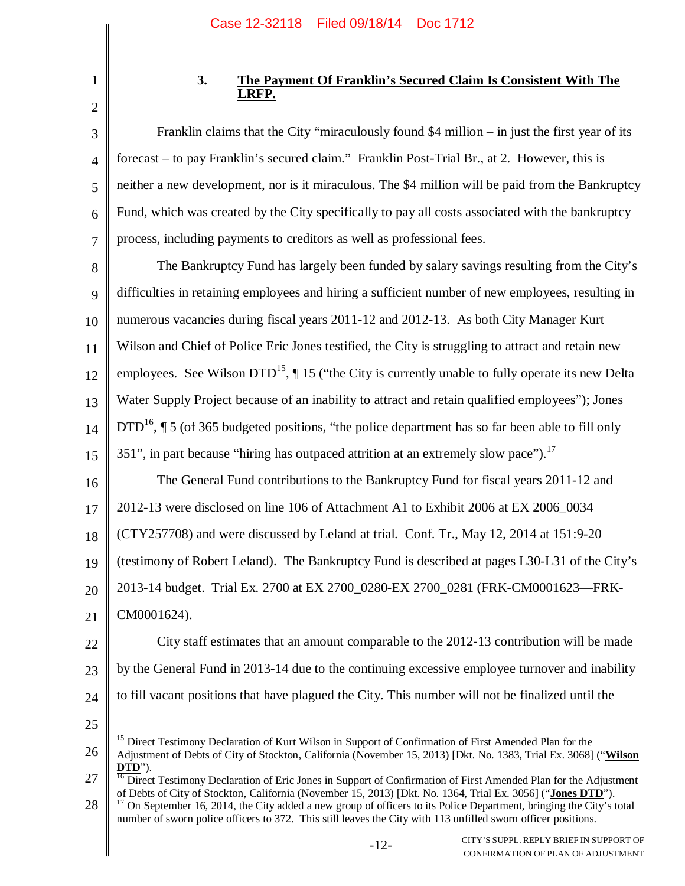1 2

3

4

5

6

7

# **3. The Payment Of Franklin's Secured Claim Is Consistent With The LRFP.**

Franklin claims that the City "miraculously found \$4 million – in just the first year of its forecast – to pay Franklin's secured claim." Franklin Post-Trial Br., at 2. However, this is neither a new development, nor is it miraculous. The \$4 million will be paid from the Bankruptcy Fund, which was created by the City specifically to pay all costs associated with the bankruptcy process, including payments to creditors as well as professional fees.

8 9 10 11 12 13 14 15 16 17 The Bankruptcy Fund has largely been funded by salary savings resulting from the City's difficulties in retaining employees and hiring a sufficient number of new employees, resulting in numerous vacancies during fiscal years 2011-12 and 2012-13. As both City Manager Kurt Wilson and Chief of Police Eric Jones testified, the City is struggling to attract and retain new employees. See Wilson  $DTD^{15}$ ,  $\P 15$  ("the City is currently unable to fully operate its new Delta Water Supply Project because of an inability to attract and retain qualified employees"); Jones DTD<sup>16</sup>,  $\P$  5 (of 365 budgeted positions, "the police department has so far been able to fill only 351", in part because "hiring has outpaced attrition at an extremely slow pace").<sup>17</sup> The General Fund contributions to the Bankruptcy Fund for fiscal years 2011-12 and 2012-13 were disclosed on line 106 of Attachment A1 to Exhibit 2006 at EX 2006\_0034

18 (CTY257708) and were discussed by Leland at trial. Conf. Tr., May 12, 2014 at 151:9-20

19 (testimony of Robert Leland). The Bankruptcy Fund is described at pages L30-L31 of the City's

20 2013-14 budget. Trial Ex. 2700 at EX 2700\_0280-EX 2700\_0281 (FRK-CM0001623—FRK-

21 CM0001624).

22 23 24 City staff estimates that an amount comparable to the 2012-13 contribution will be made by the General Fund in 2013-14 due to the continuing excessive employee turnover and inability to fill vacant positions that have plagued the City. This number will not be finalized until the

25

26 <sup>15</sup> Direct Testimony Declaration of Kurt Wilson in Support of Confirmation of First Amended Plan for the Adjustment of Debts of City of Stockton, California (November 15, 2013) [Dkt. No. 1383, Trial Ex. 3068] ("**Wilson DTD**").

<sup>27</sup> <sup>16</sup> Direct Testimony Declaration of Eric Jones in Support of Confirmation of First Amended Plan for the Adjustment of Debts of City of Stockton, California (November 15, 2013) [Dkt. No. 1364, Trial Ex. 3056] ("**Jones DTD**").

<sup>28</sup>  $17$  On September 16, 2014, the City added a new group of officers to its Police Department, bringing the City's total number of sworn police officers to 372. This still leaves the City with 113 unfilled sworn officer positions.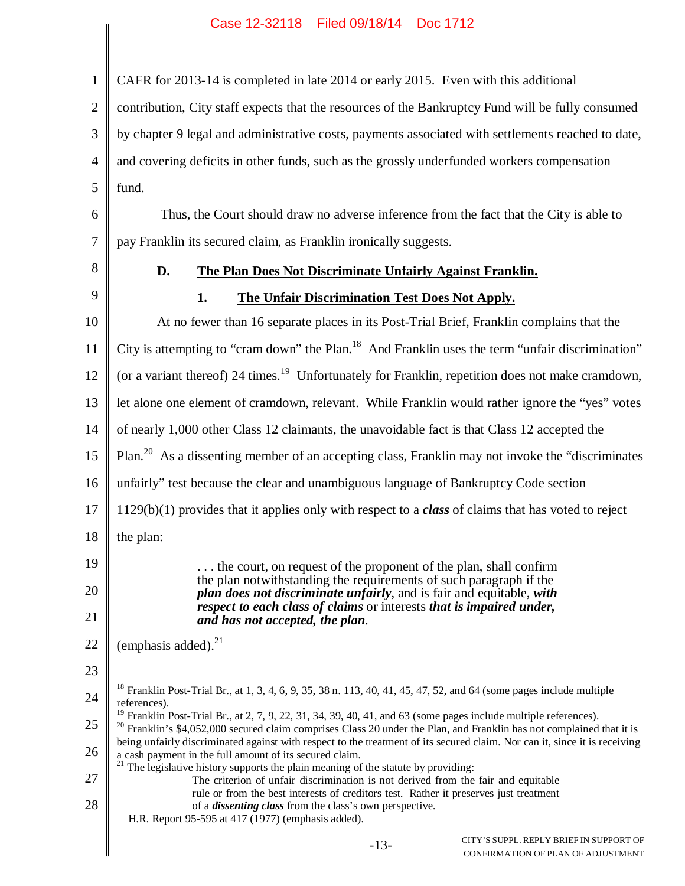CAFR for 2013-14 is completed in late 2014 or early 2015. Even with this additional

2 contribution, City staff expects that the resources of the Bankruptcy Fund will be fully consumed

3 by chapter 9 legal and administrative costs, payments associated with settlements reached to date,

4 and covering deficits in other funds, such as the grossly underfunded workers compensation

5 fund.

6 7 Thus, the Court should draw no adverse inference from the fact that the City is able to pay Franklin its secured claim, as Franklin ironically suggests.

8

9

1

# **D. The Plan Does Not Discriminate Unfairly Against Franklin.**

# **1. The Unfair Discrimination Test Does Not Apply.**

10 11 12 13 14 15 16 17 18 19 20 21 22 23 24 25 26 27 28 At no fewer than 16 separate places in its Post-Trial Brief, Franklin complains that the City is attempting to "cram down" the Plan.<sup>18</sup> And Franklin uses the term "unfair discrimination" (or a variant thereof) 24 times.<sup>19</sup> Unfortunately for Franklin, repetition does not make cramdown, let alone one element of cramdown, relevant. While Franklin would rather ignore the "yes" votes of nearly 1,000 other Class 12 claimants, the unavoidable fact is that Class 12 accepted the Plan.<sup>20</sup> As a dissenting member of an accepting class, Franklin may not invoke the "discriminates" unfairly" test because the clear and unambiguous language of Bankruptcy Code section 1129(b)(1) provides that it applies only with respect to a *class* of claims that has voted to reject the plan: . . . the court, on request of the proponent of the plan, shall confirm the plan notwithstanding the requirements of such paragraph if the *plan does not discriminate unfairly*, and is fair and equitable, *with respect to each class of claims* or interests *that is impaired under, and has not accepted, the plan*. (emphasis added). $^{21}$  $18$  Franklin Post-Trial Br., at 1, 3, 4, 6, 9, 35, 38 n. 113, 40, 41, 45, 47, 52, and 64 (some pages include multiple references). <sup>19</sup> Franklin Post-Trial Br., at 2, 7, 9, 22, 31, 34, 39, 40, 41, and 63 (some pages include multiple references).  $20$  Franklin's \$4,052,000 secured claim comprises Class 20 under the Plan, and Franklin has not complained that it is being unfairly discriminated against with respect to the treatment of its secured claim. Nor can it, since it is receiving a cash payment in the full amount of its secured claim.  $21$  The legislative history supports the plain meaning of the statute by providing: The criterion of unfair discrimination is not derived from the fair and equitable rule or from the best interests of creditors test. Rather it preserves just treatment of a *dissenting class* from the class's own perspective. H.R. Report 95-595 at 417 (1977) (emphasis added).

> -13- CITY'S SUPPL. REPLY BRIEF IN SUPPORT OF CONFIRMATION OF PLAN OF ADJUSTMENT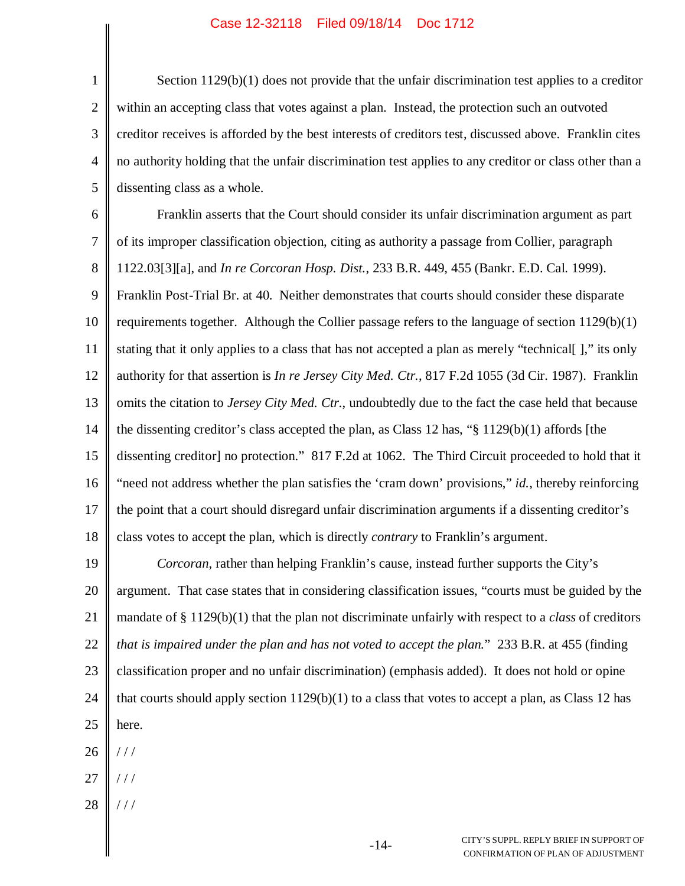1 2 3 4 5 Section 1129(b)(1) does not provide that the unfair discrimination test applies to a creditor within an accepting class that votes against a plan. Instead, the protection such an outvoted creditor receives is afforded by the best interests of creditors test, discussed above. Franklin cites no authority holding that the unfair discrimination test applies to any creditor or class other than a dissenting class as a whole.

6 7 8 9 10 11 12 13 14 15 16 17 18 Franklin asserts that the Court should consider its unfair discrimination argument as part of its improper classification objection, citing as authority a passage from Collier, paragraph 1122.03[3][a], and *In re Corcoran Hosp. Dist.*, 233 B.R. 449, 455 (Bankr. E.D. Cal. 1999). Franklin Post-Trial Br. at 40. Neither demonstrates that courts should consider these disparate requirements together. Although the Collier passage refers to the language of section 1129(b)(1) stating that it only applies to a class that has not accepted a plan as merely "technical[ ]," its only authority for that assertion is *In re Jersey City Med. Ctr.*, 817 F.2d 1055 (3d Cir. 1987). Franklin omits the citation to *Jersey City Med. Ctr.*, undoubtedly due to the fact the case held that because the dissenting creditor's class accepted the plan, as Class 12 has, "§ 1129(b)(1) affords [the dissenting creditor] no protection." 817 F.2d at 1062. The Third Circuit proceeded to hold that it "need not address whether the plan satisfies the 'cram down' provisions," *id.*, thereby reinforcing the point that a court should disregard unfair discrimination arguments if a dissenting creditor's class votes to accept the plan, which is directly *contrary* to Franklin's argument.

19 20 21 22 23 24 25 *Corcoran*, rather than helping Franklin's cause, instead further supports the City's argument. That case states that in considering classification issues, "courts must be guided by the mandate of § 1129(b)(1) that the plan not discriminate unfairly with respect to a *class* of creditors *that is impaired under the plan and has not voted to accept the plan.*" 233 B.R. at 455 (finding classification proper and no unfair discrimination) (emphasis added). It does not hold or opine that courts should apply section  $1129(b)(1)$  to a class that votes to accept a plan, as Class 12 has here.

26 / / /

- 27 / / /
- 28 / / /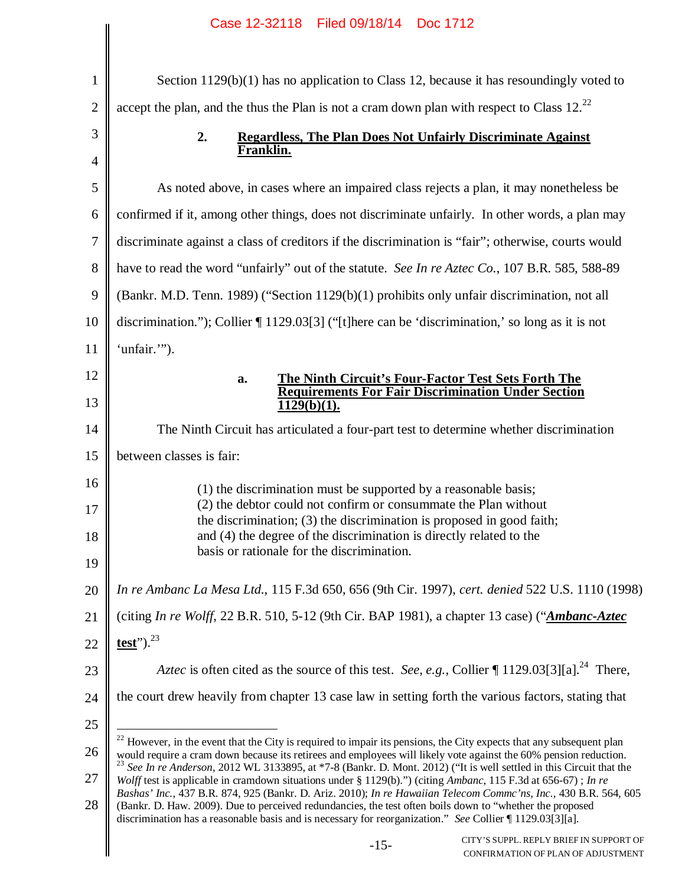|                | Case IZ-32110 Filed 09/10/14 DOC 1/12                                                                                                                                                                                                                                                                                                               |
|----------------|-----------------------------------------------------------------------------------------------------------------------------------------------------------------------------------------------------------------------------------------------------------------------------------------------------------------------------------------------------|
| $\mathbf{1}$   | Section $1129(b)(1)$ has no application to Class 12, because it has resoundingly voted to                                                                                                                                                                                                                                                           |
| $\overline{2}$ | accept the plan, and the thus the Plan is not a cram down plan with respect to Class $12.^{22}$                                                                                                                                                                                                                                                     |
| 3              | 2.<br><b>Regardless, The Plan Does Not Unfairly Discriminate Against</b>                                                                                                                                                                                                                                                                            |
| 4              | Franklin.                                                                                                                                                                                                                                                                                                                                           |
| 5              | As noted above, in cases where an impaired class rejects a plan, it may nonetheless be                                                                                                                                                                                                                                                              |
| 6              | confirmed if it, among other things, does not discriminate unfairly. In other words, a plan may                                                                                                                                                                                                                                                     |
| 7              | discriminate against a class of creditors if the discrimination is "fair"; otherwise, courts would                                                                                                                                                                                                                                                  |
| 8              | have to read the word "unfairly" out of the statute. See In re Aztec Co., 107 B.R. 585, 588-89                                                                                                                                                                                                                                                      |
| 9              | (Bankr. M.D. Tenn. 1989) ("Section 1129(b)(1) prohibits only unfair discrimination, not all                                                                                                                                                                                                                                                         |
| 10             | discrimination."); Collier $\P$ 1129.03[3] ("[t]here can be 'discrimination,' so long as it is not                                                                                                                                                                                                                                                  |
| 11             | 'unfair.'").                                                                                                                                                                                                                                                                                                                                        |
| 12             | The Ninth Circuit's Four-Factor Test Sets Forth The<br>a.                                                                                                                                                                                                                                                                                           |
| 13             | <b>Requirements For Fair Discrimination Under Section</b><br>$1129(b)(1)$ .                                                                                                                                                                                                                                                                         |
| 14             | The Ninth Circuit has articulated a four-part test to determine whether discrimination                                                                                                                                                                                                                                                              |
| 15             | between classes is fair:                                                                                                                                                                                                                                                                                                                            |
| 16             | (1) the discrimination must be supported by a reasonable basis;                                                                                                                                                                                                                                                                                     |
| 17             | (2) the debtor could not confirm or consummate the Plan without<br>the discrimination; (3) the discrimination is proposed in good faith;                                                                                                                                                                                                            |
| 18             | and (4) the degree of the discrimination is directly related to the                                                                                                                                                                                                                                                                                 |
| 19             | basis or rationale for the discrimination.                                                                                                                                                                                                                                                                                                          |
| 20             | In re Ambanc La Mesa Ltd., 115 F.3d 650, 656 (9th Cir. 1997), cert. denied 522 U.S. 1110 (1998)                                                                                                                                                                                                                                                     |
| 21             | (citing In re Wolff, 22 B.R. 510, 5-12 (9th Cir. BAP 1981), a chapter 13 case) ("Ambanc-Aztec                                                                                                                                                                                                                                                       |
| 22             | test"). $^{23}$                                                                                                                                                                                                                                                                                                                                     |
| 23             | Aztec is often cited as the source of this test. See, e.g., Collier ¶ 1129.03[3][a]. <sup>24</sup> There,                                                                                                                                                                                                                                           |
| 24             | the court drew heavily from chapter 13 case law in setting forth the various factors, stating that                                                                                                                                                                                                                                                  |
| 25             |                                                                                                                                                                                                                                                                                                                                                     |
| 26             | <sup>22</sup> However, in the event that the City is required to impair its pensions, the City expects that any subsequent plan<br>would require a cram down because its retirees and employees will likely vote against the 60% pension reduction.                                                                                                 |
| 27             | <sup>23</sup> See In re Anderson, 2012 WL 3133895, at *7-8 (Bankr. D. Mont. 2012) ("It is well settled in this Circuit that the<br>Wolff test is applicable in cramdown situations under § 1129(b).") (citing Ambanc, 115 F.3d at 656-67); In re                                                                                                    |
| 28             | Bashas' Inc., 437 B.R. 874, 925 (Bankr. D. Ariz. 2010); In re Hawaiian Telecom Commc'ns, Inc., 430 B.R. 564, 605<br>(Bankr. D. Haw. 2009). Due to perceived redundancies, the test often boils down to "whether the proposed<br>discrimination has a reasonable basis and is necessary for reorganization." See Collier $\llbracket$ 1129.03[3][a]. |
|                | CITY'S SUPPL. REPLY BRIEF IN SUPPORT OF<br>$-15-$<br>CONFIRMATION OF PLAN OF ADJUSTMENT                                                                                                                                                                                                                                                             |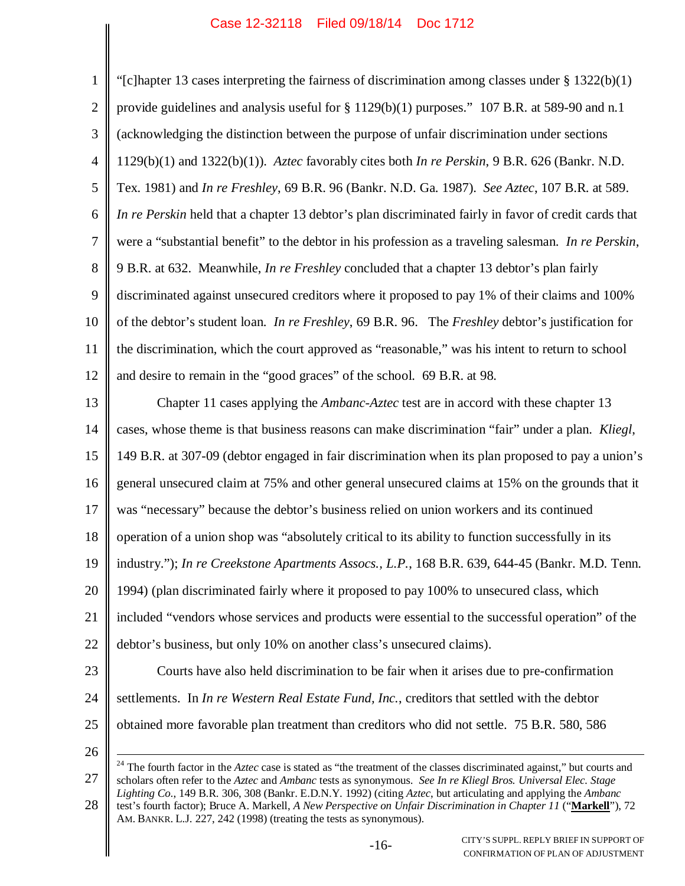| $\mathbf{1}$     | "[c]hapter 13 cases interpreting the fairness of discrimination among classes under $\S$ 1322(b)(1)                                                                                                                                                                                                        |
|------------------|------------------------------------------------------------------------------------------------------------------------------------------------------------------------------------------------------------------------------------------------------------------------------------------------------------|
| $\mathbf{2}$     | provide guidelines and analysis useful for § 1129(b)(1) purposes." 107 B.R. at 589-90 and n.1                                                                                                                                                                                                              |
| $\mathfrak{Z}$   | (acknowledging the distinction between the purpose of unfair discrimination under sections                                                                                                                                                                                                                 |
| $\overline{4}$   | $1129(b)(1)$ and $1322(b)(1)$ ). Aztec favorably cites both <i>In re Perskin</i> , 9 B.R. 626 (Bankr. N.D.                                                                                                                                                                                                 |
| 5                | Tex. 1981) and <i>In re Freshley</i> , 69 B.R. 96 (Bankr. N.D. Ga. 1987). See Aztec, 107 B.R. at 589.                                                                                                                                                                                                      |
| 6                | In re Perskin held that a chapter 13 debtor's plan discriminated fairly in favor of credit cards that                                                                                                                                                                                                      |
| $\boldsymbol{7}$ | were a "substantial benefit" to the debtor in his profession as a traveling salesman. In re Perskin,                                                                                                                                                                                                       |
| 8                | 9 B.R. at 632. Meanwhile, <i>In re Freshley</i> concluded that a chapter 13 debtor's plan fairly                                                                                                                                                                                                           |
| 9                | discriminated against unsecured creditors where it proposed to pay 1% of their claims and 100%                                                                                                                                                                                                             |
| 10               | of the debtor's student loan. In re Freshley, 69 B.R. 96. The Freshley debtor's justification for                                                                                                                                                                                                          |
| 11               | the discrimination, which the court approved as "reasonable," was his intent to return to school                                                                                                                                                                                                           |
| 12               | and desire to remain in the "good graces" of the school. 69 B.R. at 98.                                                                                                                                                                                                                                    |
| 13               | Chapter 11 cases applying the <i>Ambanc-Aztec</i> test are in accord with these chapter 13                                                                                                                                                                                                                 |
| 14               | cases, whose theme is that business reasons can make discrimination "fair" under a plan. Kliegl,                                                                                                                                                                                                           |
| 15               | 149 B.R. at 307-09 (debtor engaged in fair discrimination when its plan proposed to pay a union's                                                                                                                                                                                                          |
| 16               | general unsecured claim at 75% and other general unsecured claims at 15% on the grounds that it                                                                                                                                                                                                            |
| 17               | was "necessary" because the debtor's business relied on union workers and its continued                                                                                                                                                                                                                    |
| 18               | operation of a union shop was "absolutely critical to its ability to function successfully in its                                                                                                                                                                                                          |
| 19               | industry."); In re Creekstone Apartments Assocs., L.P., 168 B.R. 639, 644-45 (Bankr. M.D. Tenn.                                                                                                                                                                                                            |
| 20               | 1994) (plan discriminated fairly where it proposed to pay 100% to unsecured class, which                                                                                                                                                                                                                   |
| 21               | included "vendors whose services and products were essential to the successful operation" of the                                                                                                                                                                                                           |
| 22               | debtor's business, but only 10% on another class's unsecured claims).                                                                                                                                                                                                                                      |
| 23               | Courts have also held discrimination to be fair when it arises due to pre-confirmation                                                                                                                                                                                                                     |
| 24               | settlements. In In re Western Real Estate Fund, Inc., creditors that settled with the debtor                                                                                                                                                                                                               |
| 25               | obtained more favorable plan treatment than creditors who did not settle. 75 B.R. 580, 586                                                                                                                                                                                                                 |
| 26               |                                                                                                                                                                                                                                                                                                            |
| 27               | <sup>24</sup> The fourth factor in the $Aztec$ case is stated as "the treatment of the classes discriminated against," but courts and<br>scholars often refer to the Aztec and Ambanc tests as synonymous. See In re Kliegl Bros. Universal Elec. Stage                                                    |
| 28               | Lighting Co., 149 B.R. 306, 308 (Bankr. E.D.N.Y. 1992) (citing Aztec, but articulating and applying the Ambanc<br>test's fourth factor); Bruce A. Markell, A New Perspective on Unfair Discrimination in Chapter 11 ("Markell"), 72<br>AM. BANKR. L.J. 227, 242 (1998) (treating the tests as synonymous). |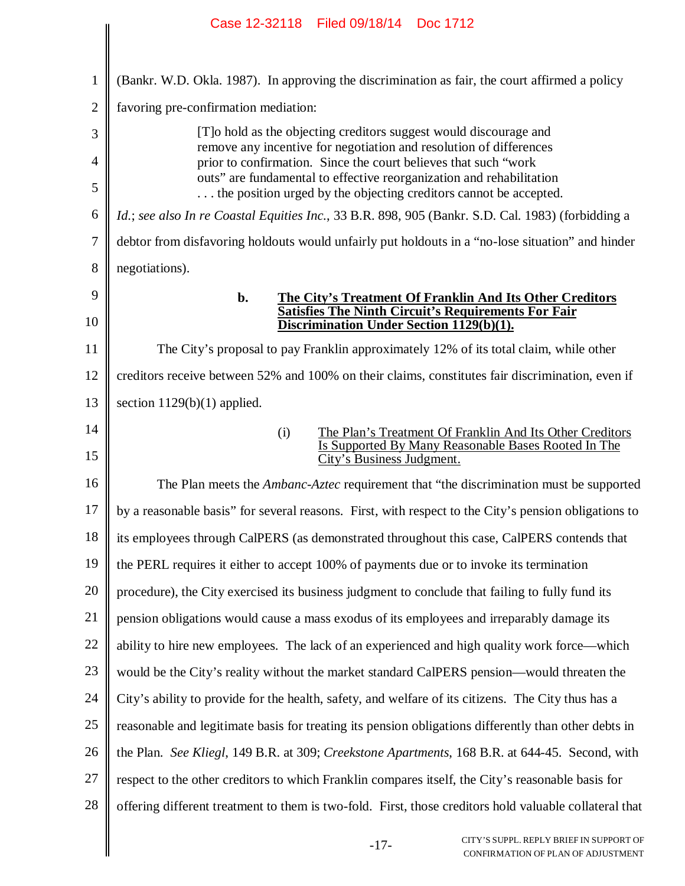|                | Case 12-32118 Filed 09/18/14 Doc 1712                                                                                                     |
|----------------|-------------------------------------------------------------------------------------------------------------------------------------------|
|                |                                                                                                                                           |
| $\mathbf{1}$   | (Bankr. W.D. Okla. 1987). In approving the discrimination as fair, the court affirmed a policy                                            |
| $\overline{2}$ | favoring pre-confirmation mediation:                                                                                                      |
| 3              | [T] o hold as the objecting creditors suggest would discourage and                                                                        |
| $\overline{4}$ | remove any incentive for negotiation and resolution of differences<br>prior to confirmation. Since the court believes that such "work"    |
| 5              | outs" are fundamental to effective reorganization and rehabilitation<br>the position urged by the objecting creditors cannot be accepted. |
| 6              | Id.; see also In re Coastal Equities Inc., 33 B.R. 898, 905 (Bankr. S.D. Cal. 1983) (forbidding a                                         |
| 7              | debtor from disfavoring holdouts would unfairly put holdouts in a "no-lose situation" and hinder                                          |
| 8              | negotiations).                                                                                                                            |
| 9              | b.<br>The City's Treatment Of Franklin And Its Other Creditors<br>Satisfies The Ninth Circuit's Requirements For Fair                     |
| 10             | Discrimination Under Section 1129(b)(1).                                                                                                  |
| 11             | The City's proposal to pay Franklin approximately 12% of its total claim, while other                                                     |
| 12             | creditors receive between 52% and 100% on their claims, constitutes fair discrimination, even if                                          |
| 13             | section $1129(b)(1)$ applied.                                                                                                             |
| 14             | The Plan's Treatment Of Franklin And Its Other Creditors<br>(i)<br>Is Supported By Many Reasonable Bases Rooted In The                    |
| 15             | City's Business Judgment.                                                                                                                 |
| 16             | The Plan meets the <i>Ambanc-Aztec</i> requirement that "the discrimination must be supported                                             |
| 17             | by a reasonable basis" for several reasons. First, with respect to the City's pension obligations to                                      |
| 18             | its employees through CalPERS (as demonstrated throughout this case, CalPERS contends that                                                |
| 19             | the PERL requires it either to accept 100% of payments due or to invoke its termination                                                   |
| 20             | procedure), the City exercised its business judgment to conclude that failing to fully fund its                                           |
| 21             | pension obligations would cause a mass exodus of its employees and irreparably damage its                                                 |
| 22             | ability to hire new employees. The lack of an experienced and high quality work force—which                                               |
| 23             | would be the City's reality without the market standard CalPERS pension—would threaten the                                                |
| 24             | City's ability to provide for the health, safety, and welfare of its citizens. The City thus has a                                        |
| 25             | reasonable and legitimate basis for treating its pension obligations differently than other debts in                                      |
| 26             | the Plan. See Kliegl, 149 B.R. at 309; Creekstone Apartments, 168 B.R. at 644-45. Second, with                                            |
| 27             | respect to the other creditors to which Franklin compares itself, the City's reasonable basis for                                         |
| 28             | offering different treatment to them is two-fold. First, those creditors hold valuable collateral that                                    |
|                | CITY'S SUPPL. REPLY BRIEF IN SUPPORT OF<br>$-17-$<br>CONFIRMATION OF PLAN OF ADJUSTMENT                                                   |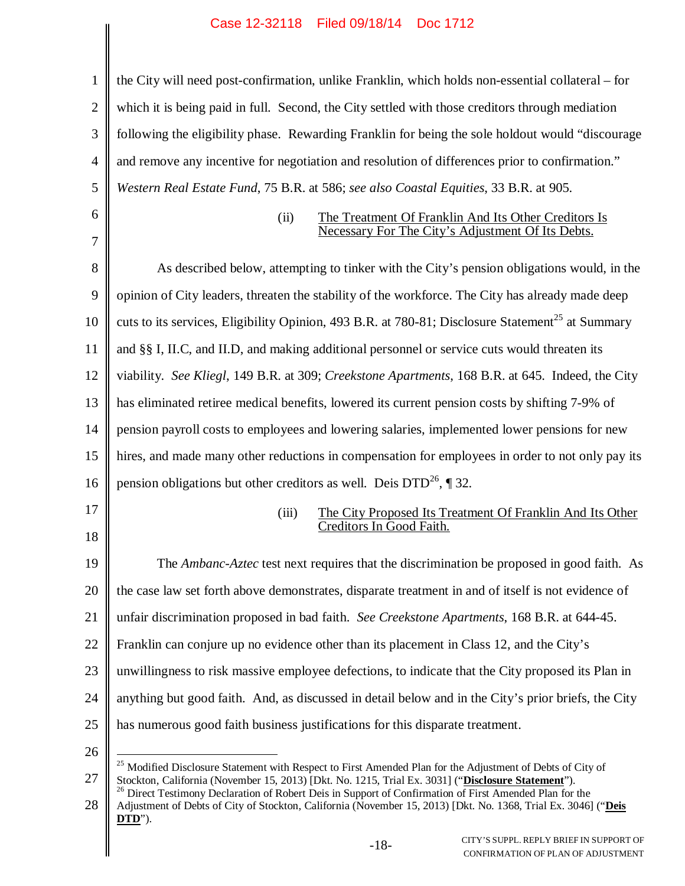| 1              | the City will need post-confirmation, unlike Franklin, which holds non-essential collateral – for                                                                                                          |  |  |
|----------------|------------------------------------------------------------------------------------------------------------------------------------------------------------------------------------------------------------|--|--|
| $\mathbf{2}$   | which it is being paid in full. Second, the City settled with those creditors through mediation                                                                                                            |  |  |
| 3              | following the eligibility phase. Rewarding Franklin for being the sole holdout would "discourage"                                                                                                          |  |  |
| $\overline{4}$ | and remove any incentive for negotiation and resolution of differences prior to confirmation."                                                                                                             |  |  |
| 5              | Western Real Estate Fund, 75 B.R. at 586; see also Coastal Equities, 33 B.R. at 905.                                                                                                                       |  |  |
| 6              | The Treatment Of Franklin And Its Other Creditors Is<br>(ii)                                                                                                                                               |  |  |
| $\overline{7}$ | Necessary For The City's Adjustment Of Its Debts.                                                                                                                                                          |  |  |
| 8              | As described below, attempting to tinker with the City's pension obligations would, in the                                                                                                                 |  |  |
| 9              | opinion of City leaders, threaten the stability of the workforce. The City has already made deep                                                                                                           |  |  |
| 10             | cuts to its services, Eligibility Opinion, 493 B.R. at 780-81; Disclosure Statement <sup>25</sup> at Summary                                                                                               |  |  |
| 11             | and §§ I, II.C, and II.D, and making additional personnel or service cuts would threaten its                                                                                                               |  |  |
| 12             | viability. See Kliegl, 149 B.R. at 309; Creekstone Apartments, 168 B.R. at 645. Indeed, the City                                                                                                           |  |  |
| 13             | has eliminated retiree medical benefits, lowered its current pension costs by shifting 7-9% of                                                                                                             |  |  |
| 14             | pension payroll costs to employees and lowering salaries, implemented lower pensions for new                                                                                                               |  |  |
| 15             | hires, and made many other reductions in compensation for employees in order to not only pay its                                                                                                           |  |  |
| 16             | pension obligations but other creditors as well. Deis $DTD^{26}$ , ¶ 32.                                                                                                                                   |  |  |
| 17             | (iii)<br>The City Proposed Its Treatment Of Franklin And Its Other<br>Creditors In Good Faith.                                                                                                             |  |  |
| 18             |                                                                                                                                                                                                            |  |  |
| 19             | The Ambanc-Aztec test next requires that the discrimination be proposed in good faith. As                                                                                                                  |  |  |
| 20             | the case law set forth above demonstrates, disparate treatment in and of itself is not evidence of                                                                                                         |  |  |
| 21             | unfair discrimination proposed in bad faith. See Creekstone Apartments, 168 B.R. at 644-45.                                                                                                                |  |  |
| 22             | Franklin can conjure up no evidence other than its placement in Class 12, and the City's                                                                                                                   |  |  |
| 23             | unwillingness to risk massive employee defections, to indicate that the City proposed its Plan in                                                                                                          |  |  |
| 24             | anything but good faith. And, as discussed in detail below and in the City's prior briefs, the City                                                                                                        |  |  |
| 25             | has numerous good faith business justifications for this disparate treatment.                                                                                                                              |  |  |
| 26             | <sup>25</sup> Modified Disclosure Statement with Respect to First Amended Plan for the Adjustment of Debts of City of                                                                                      |  |  |
| 27             | Stockton, California (November 15, 2013) [Dkt. No. 1215, Trial Ex. 3031] ("Disclosure Statement").<br>Direct Testimony Declaration of Robert Deis in Support of Confirmation of First Amended Plan for the |  |  |

28  $\mathbb{I}$ Adjustment of Debts of City of Stockton, California (November 15, 2013) [Dkt. No. 1368, Trial Ex. 3046] ("**Deis DTD**").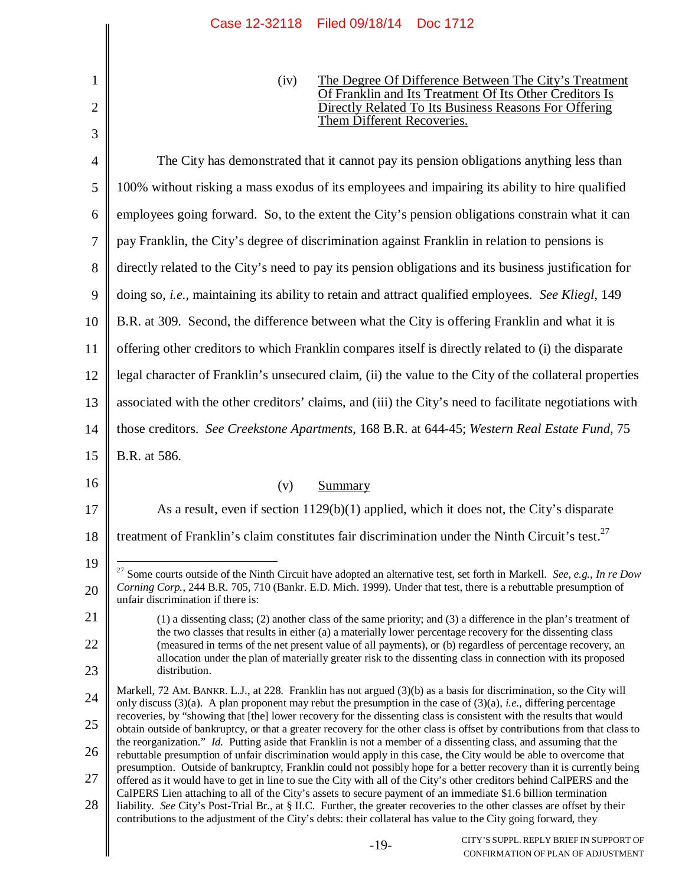|                | Case IZ-32118 - Filed 09/18/14 - DOC 1712                                                                                                                                                                                                                                                                                                                      |  |  |  |
|----------------|----------------------------------------------------------------------------------------------------------------------------------------------------------------------------------------------------------------------------------------------------------------------------------------------------------------------------------------------------------------|--|--|--|
| 1<br>2         | The Degree Of Difference Between The City's Treatment<br>(iv)<br>Of Franklin and Its Treatment Of Its Other Creditors Is<br>Directly Related To Its Business Reasons For Offering<br>Them Different Recoveries.                                                                                                                                                |  |  |  |
| 3              |                                                                                                                                                                                                                                                                                                                                                                |  |  |  |
| $\overline{4}$ | The City has demonstrated that it cannot pay its pension obligations anything less than                                                                                                                                                                                                                                                                        |  |  |  |
| 5              | 100% without risking a mass exodus of its employees and impairing its ability to hire qualified                                                                                                                                                                                                                                                                |  |  |  |
| 6              | employees going forward. So, to the extent the City's pension obligations constrain what it can                                                                                                                                                                                                                                                                |  |  |  |
| 7              | pay Franklin, the City's degree of discrimination against Franklin in relation to pensions is                                                                                                                                                                                                                                                                  |  |  |  |
| 8              | directly related to the City's need to pay its pension obligations and its business justification for                                                                                                                                                                                                                                                          |  |  |  |
| 9              | doing so, <i>i.e.</i> , maintaining its ability to retain and attract qualified employees. See Kliegl, 149                                                                                                                                                                                                                                                     |  |  |  |
| 10             | B.R. at 309. Second, the difference between what the City is offering Franklin and what it is                                                                                                                                                                                                                                                                  |  |  |  |
| 11             | offering other creditors to which Franklin compares itself is directly related to (i) the disparate                                                                                                                                                                                                                                                            |  |  |  |
| 12             | legal character of Franklin's unsecured claim, (ii) the value to the City of the collateral properties                                                                                                                                                                                                                                                         |  |  |  |
| 13             | associated with the other creditors' claims, and (iii) the City's need to facilitate negotiations with                                                                                                                                                                                                                                                         |  |  |  |
| 14             | those creditors. See Creekstone Apartments, 168 B.R. at 644-45; Western Real Estate Fund, 75                                                                                                                                                                                                                                                                   |  |  |  |
| 15             | B.R. at 586.                                                                                                                                                                                                                                                                                                                                                   |  |  |  |
| 16             | (v)<br>Summary                                                                                                                                                                                                                                                                                                                                                 |  |  |  |
| 17             | As a result, even if section 1129(b)(1) applied, which it does not, the City's disparate                                                                                                                                                                                                                                                                       |  |  |  |
| 18             | treatment of Franklin's claim constitutes fair discrimination under the Ninth Circuit's test. <sup>27</sup>                                                                                                                                                                                                                                                    |  |  |  |
| 19             | <sup>27</sup> Some courts outside of the Ninth Circuit have adopted an alternative test, set forth in Markell. See, e.g., In re Dow                                                                                                                                                                                                                            |  |  |  |
| 20             | Corning Corp., 244 B.R. 705, 710 (Bankr. E.D. Mich. 1999). Under that test, there is a rebuttable presumption of<br>unfair discrimination if there is:                                                                                                                                                                                                         |  |  |  |
| 21             | (1) a dissenting class; (2) another class of the same priority; and (3) a difference in the plan's treatment of<br>the two classes that results in either (a) a materially lower percentage recovery for the dissenting class                                                                                                                                  |  |  |  |
| 22             | (measured in terms of the net present value of all payments), or (b) regardless of percentage recovery, an<br>allocation under the plan of materially greater risk to the dissenting class in connection with its proposed                                                                                                                                     |  |  |  |
| 23             | distribution.                                                                                                                                                                                                                                                                                                                                                  |  |  |  |
| 24             | Markell, 72 AM. BANKR. L.J., at 228. Franklin has not argued (3)(b) as a basis for discrimination, so the City will<br>only discuss $(3)(a)$ . A plan proponent may rebut the presumption in the case of $(3)(a)$ , <i>i.e.</i> , differing percentage                                                                                                         |  |  |  |
| 25             | recoveries, by "showing that [the] lower recovery for the dissenting class is consistent with the results that would<br>obtain outside of bankruptcy, or that a greater recovery for the other class is offset by contributions from that class to                                                                                                             |  |  |  |
| 26             | the reorganization." Id. Putting aside that Franklin is not a member of a dissenting class, and assuming that the<br>rebuttable presumption of unfair discrimination would apply in this case, the City would be able to overcome that                                                                                                                         |  |  |  |
| 27             | presumption. Outside of bankruptcy, Franklin could not possibly hope for a better recovery than it is currently being<br>offered as it would have to get in line to sue the City with all of the City's other creditors behind CalPERS and the                                                                                                                 |  |  |  |
| 28             | CalPERS Lien attaching to all of the City's assets to secure payment of an immediate \$1.6 billion termination<br>liability. See City's Post-Trial Br., at § II.C. Further, the greater recoveries to the other classes are offset by their<br>contributions to the adjustment of the City's debts: their collateral has value to the City going forward, they |  |  |  |
|                | CITY'S SUPPL. REPLY BRIEF IN SUPPORT OF<br>$-19-$<br>CONFIRMATION OF PLAN OF ADJUSTMENT                                                                                                                                                                                                                                                                        |  |  |  |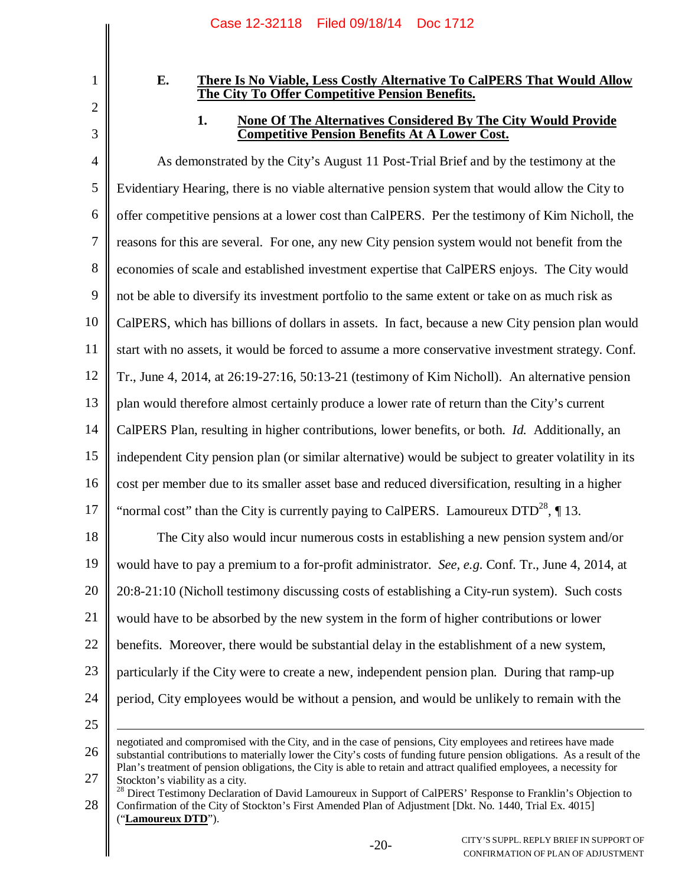2

3

1

## **E. There Is No Viable, Less Costly Alternative To CalPERS That Would Allow The City To Offer Competitive Pension Benefits.**

# **1. None Of The Alternatives Considered By The City Would Provide Competitive Pension Benefits At A Lower Cost.**

4 5 6 7 8 9 10 11 12 13 14 15 16 17 18 19 20 21 22 23 24 25 As demonstrated by the City's August 11 Post-Trial Brief and by the testimony at the Evidentiary Hearing, there is no viable alternative pension system that would allow the City to offer competitive pensions at a lower cost than CalPERS. Per the testimony of Kim Nicholl, the reasons for this are several. For one, any new City pension system would not benefit from the economies of scale and established investment expertise that CalPERS enjoys. The City would not be able to diversify its investment portfolio to the same extent or take on as much risk as CalPERS, which has billions of dollars in assets. In fact, because a new City pension plan would start with no assets, it would be forced to assume a more conservative investment strategy. Conf. Tr., June 4, 2014, at 26:19-27:16, 50:13-21 (testimony of Kim Nicholl). An alternative pension plan would therefore almost certainly produce a lower rate of return than the City's current CalPERS Plan, resulting in higher contributions, lower benefits, or both. *Id.* Additionally, an independent City pension plan (or similar alternative) would be subject to greater volatility in its cost per member due to its smaller asset base and reduced diversification, resulting in a higher "normal cost" than the City is currently paying to CalPERS. Lamoureux  $DTD^{28}$ , 13. The City also would incur numerous costs in establishing a new pension system and/or would have to pay a premium to a for-profit administrator. *See, e.g.* Conf. Tr., June 4, 2014, at 20:8-21:10 (Nicholl testimony discussing costs of establishing a City-run system). Such costs would have to be absorbed by the new system in the form of higher contributions or lower benefits. Moreover, there would be substantial delay in the establishment of a new system, particularly if the City were to create a new, independent pension plan. During that ramp-up period, City employees would be without a pension, and would be unlikely to remain with the negotiated and compromised with the City, and in the case of pensions, City employees and retirees have made

<sup>26</sup> 27 substantial contributions to materially lower the City's costs of funding future pension obligations. As a result of the Plan's treatment of pension obligations, the City is able to retain and attract qualified employees, a necessity for Stockton's viability as a city.

<sup>28</sup> <sup>28</sup> Direct Testimony Declaration of David Lamoureux in Support of CalPERS' Response to Franklin's Objection to Confirmation of the City of Stockton's First Amended Plan of Adjustment [Dkt. No. 1440, Trial Ex. 4015] ("**Lamoureux DTD**").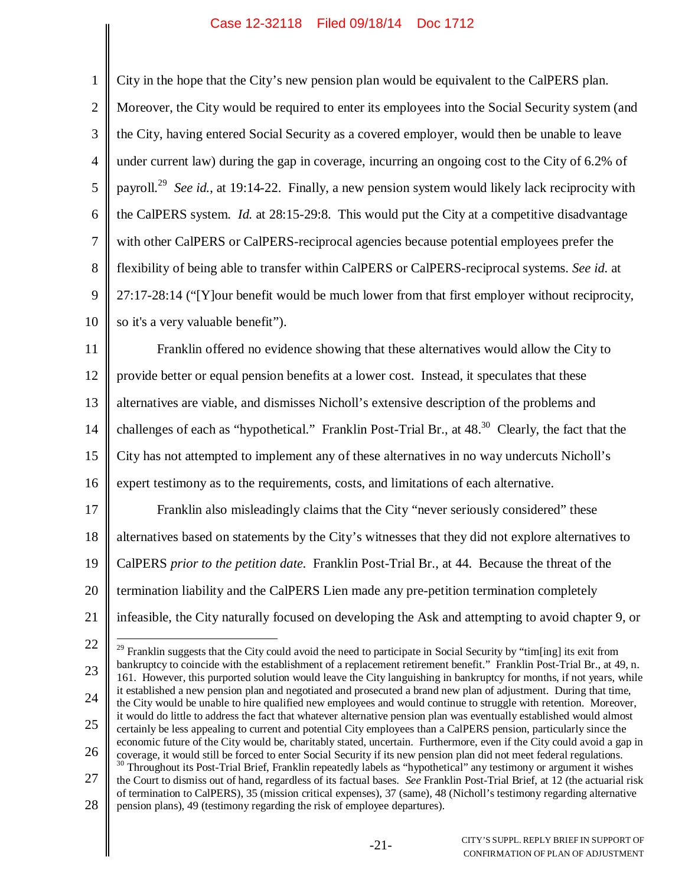$\parallel$ 

| $\mathbf{1}$   | City in the hope that the City's new pension plan would be equivalent to the CalPERS plan.                                                                                                                                                                     |  |  |
|----------------|----------------------------------------------------------------------------------------------------------------------------------------------------------------------------------------------------------------------------------------------------------------|--|--|
| $\mathbf{2}$   | Moreover, the City would be required to enter its employees into the Social Security system (and                                                                                                                                                               |  |  |
| 3              | the City, having entered Social Security as a covered employer, would then be unable to leave                                                                                                                                                                  |  |  |
| $\overline{4}$ | under current law) during the gap in coverage, incurring an ongoing cost to the City of 6.2% of                                                                                                                                                                |  |  |
| $\mathfrak{S}$ | payroll. <sup>29</sup> See id., at 19:14-22. Finally, a new pension system would likely lack reciprocity with                                                                                                                                                  |  |  |
| 6              | the CalPERS system. Id. at 28:15-29:8. This would put the City at a competitive disadvantage                                                                                                                                                                   |  |  |
| $\overline{7}$ | with other CalPERS or CalPERS-reciprocal agencies because potential employees prefer the                                                                                                                                                                       |  |  |
| $8\,$          | flexibility of being able to transfer within CalPERS or CalPERS-reciprocal systems. See id. at                                                                                                                                                                 |  |  |
| 9              | 27:17-28:14 ("[Y] our benefit would be much lower from that first employer without reciprocity,                                                                                                                                                                |  |  |
| 10             | so it's a very valuable benefit").                                                                                                                                                                                                                             |  |  |
| 11             | Franklin offered no evidence showing that these alternatives would allow the City to                                                                                                                                                                           |  |  |
| 12             | provide better or equal pension benefits at a lower cost. Instead, it speculates that these                                                                                                                                                                    |  |  |
| 13             | alternatives are viable, and dismisses Nicholl's extensive description of the problems and                                                                                                                                                                     |  |  |
| 14             | challenges of each as "hypothetical." Franklin Post-Trial Br., at 48. <sup>30</sup> Clearly, the fact that the                                                                                                                                                 |  |  |
| 15             | City has not attempted to implement any of these alternatives in no way undercuts Nicholl's                                                                                                                                                                    |  |  |
| 16             | expert testimony as to the requirements, costs, and limitations of each alternative.                                                                                                                                                                           |  |  |
| 17             | Franklin also misleadingly claims that the City "never seriously considered" these                                                                                                                                                                             |  |  |
| 18             | alternatives based on statements by the City's witnesses that they did not explore alternatives to                                                                                                                                                             |  |  |
| 19             | CalPERS prior to the petition date. Franklin Post-Trial Br., at 44. Because the threat of the                                                                                                                                                                  |  |  |
| 20             | termination liability and the CalPERS Lien made any pre-petition termination completely                                                                                                                                                                        |  |  |
| 21             | infeasible, the City naturally focused on developing the Ask and attempting to avoid chapter 9, or                                                                                                                                                             |  |  |
| 22             | <sup>29</sup> Franklin suggests that the City could avoid the need to participate in Social Security by "tim[ing] its exit from                                                                                                                                |  |  |
| 23             | bankruptcy to coincide with the establishment of a replacement retirement benefit." Franklin Post-Trial Br., at 49, n.<br>161. However, this purported solution would leave the City languishing in bankruptcy for months, if not years, while                 |  |  |
| 24             | it established a new pension plan and negotiated and prosecuted a brand new plan of adjustment. During that time,<br>the City would be unable to hire qualified new employees and would continue to struggle with retention. Moreover,                         |  |  |
| 25             | it would do little to address the fact that whatever alternative pension plan was eventually established would almost<br>certainly be less appealing to current and potential City employees than a CalPERS pension, particularly since the                    |  |  |
| 26             | economic future of the City would be, charitably stated, uncertain. Furthermore, even if the City could avoid a gap in<br>coverage, it would still be forced to enter Social Security if its new pension plan did not meet federal regulations.                |  |  |
| 27             | <sup>30</sup> Throughout its Post-Trial Brief, Franklin repeatedly labels as "hypothetical" any testimony or argument it wishes<br>the Court to dismiss out of hand, regardless of its factual bases. See Franklin Post-Trial Brief, at 12 (the actuarial risk |  |  |
| 28             | of termination to CalPERS), 35 (mission critical expenses), 37 (same), 48 (Nicholl's testimony regarding alternative<br>pension plans), 49 (testimony regarding the risk of employee departures).                                                              |  |  |
|                |                                                                                                                                                                                                                                                                |  |  |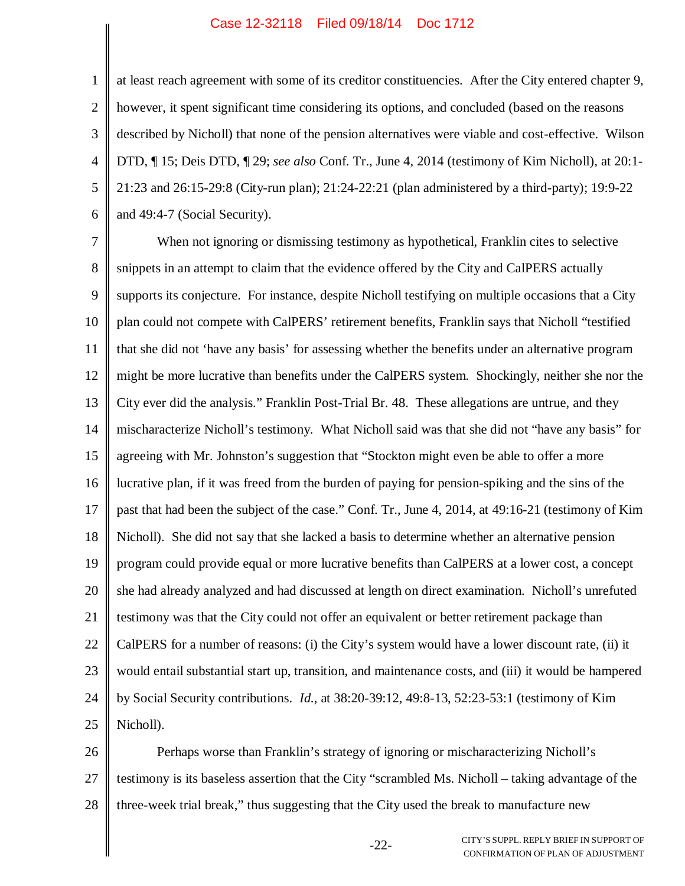1 2 3 4 5 6 at least reach agreement with some of its creditor constituencies. After the City entered chapter 9, however, it spent significant time considering its options, and concluded (based on the reasons described by Nicholl) that none of the pension alternatives were viable and cost-effective. Wilson DTD, ¶ 15; Deis DTD, ¶ 29; *see also* Conf. Tr., June 4, 2014 (testimony of Kim Nicholl), at 20:1- 21:23 and 26:15-29:8 (City-run plan); 21:24-22:21 (plan administered by a third-party); 19:9-22 and 49:4-7 (Social Security).

7 8 9 10 11 12 13 14 15 16 17 18 19 20 21 22 23 24 25 When not ignoring or dismissing testimony as hypothetical, Franklin cites to selective snippets in an attempt to claim that the evidence offered by the City and CalPERS actually supports its conjecture. For instance, despite Nicholl testifying on multiple occasions that a City plan could not compete with CalPERS' retirement benefits, Franklin says that Nicholl "testified that she did not 'have any basis' for assessing whether the benefits under an alternative program might be more lucrative than benefits under the CalPERS system. Shockingly, neither she nor the City ever did the analysis." Franklin Post-Trial Br. 48. These allegations are untrue, and they mischaracterize Nicholl's testimony. What Nicholl said was that she did not "have any basis" for agreeing with Mr. Johnston's suggestion that "Stockton might even be able to offer a more lucrative plan, if it was freed from the burden of paying for pension-spiking and the sins of the past that had been the subject of the case." Conf. Tr., June 4, 2014, at 49:16-21 (testimony of Kim Nicholl). She did not say that she lacked a basis to determine whether an alternative pension program could provide equal or more lucrative benefits than CalPERS at a lower cost, a concept she had already analyzed and had discussed at length on direct examination. Nicholl's unrefuted testimony was that the City could not offer an equivalent or better retirement package than CalPERS for a number of reasons: (i) the City's system would have a lower discount rate, (ii) it would entail substantial start up, transition, and maintenance costs, and (iii) it would be hampered by Social Security contributions. *Id.*, at 38:20-39:12, 49:8-13, 52:23-53:1 (testimony of Kim Nicholl).

26 27 28 Perhaps worse than Franklin's strategy of ignoring or mischaracterizing Nicholl's testimony is its baseless assertion that the City "scrambled Ms. Nicholl – taking advantage of the three-week trial break," thus suggesting that the City used the break to manufacture new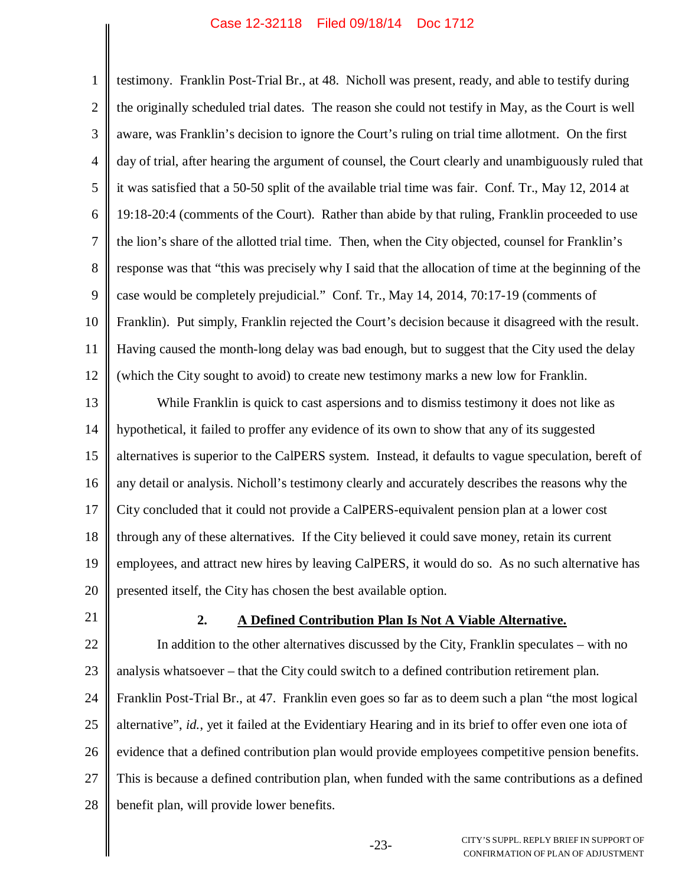1 2 3 4 5 6 7 8 9 10 11 12 testimony. Franklin Post-Trial Br., at 48. Nicholl was present, ready, and able to testify during the originally scheduled trial dates. The reason she could not testify in May, as the Court is well aware, was Franklin's decision to ignore the Court's ruling on trial time allotment. On the first day of trial, after hearing the argument of counsel, the Court clearly and unambiguously ruled that it was satisfied that a 50-50 split of the available trial time was fair. Conf. Tr., May 12, 2014 at 19:18-20:4 (comments of the Court). Rather than abide by that ruling, Franklin proceeded to use the lion's share of the allotted trial time. Then, when the City objected, counsel for Franklin's response was that "this was precisely why I said that the allocation of time at the beginning of the case would be completely prejudicial." Conf. Tr., May 14, 2014, 70:17-19 (comments of Franklin). Put simply, Franklin rejected the Court's decision because it disagreed with the result. Having caused the month-long delay was bad enough, but to suggest that the City used the delay (which the City sought to avoid) to create new testimony marks a new low for Franklin.

13 14 15 16 17 18 19 20 While Franklin is quick to cast aspersions and to dismiss testimony it does not like as hypothetical, it failed to proffer any evidence of its own to show that any of its suggested alternatives is superior to the CalPERS system. Instead, it defaults to vague speculation, bereft of any detail or analysis. Nicholl's testimony clearly and accurately describes the reasons why the City concluded that it could not provide a CalPERS-equivalent pension plan at a lower cost through any of these alternatives. If the City believed it could save money, retain its current employees, and attract new hires by leaving CalPERS, it would do so. As no such alternative has presented itself, the City has chosen the best available option.

21

#### **2. A Defined Contribution Plan Is Not A Viable Alternative.**

22 23 24 25 26 27 28 In addition to the other alternatives discussed by the City, Franklin speculates – with no analysis whatsoever – that the City could switch to a defined contribution retirement plan. Franklin Post-Trial Br., at 47. Franklin even goes so far as to deem such a plan "the most logical alternative", *id.*, yet it failed at the Evidentiary Hearing and in its brief to offer even one iota of evidence that a defined contribution plan would provide employees competitive pension benefits. This is because a defined contribution plan, when funded with the same contributions as a defined benefit plan, will provide lower benefits.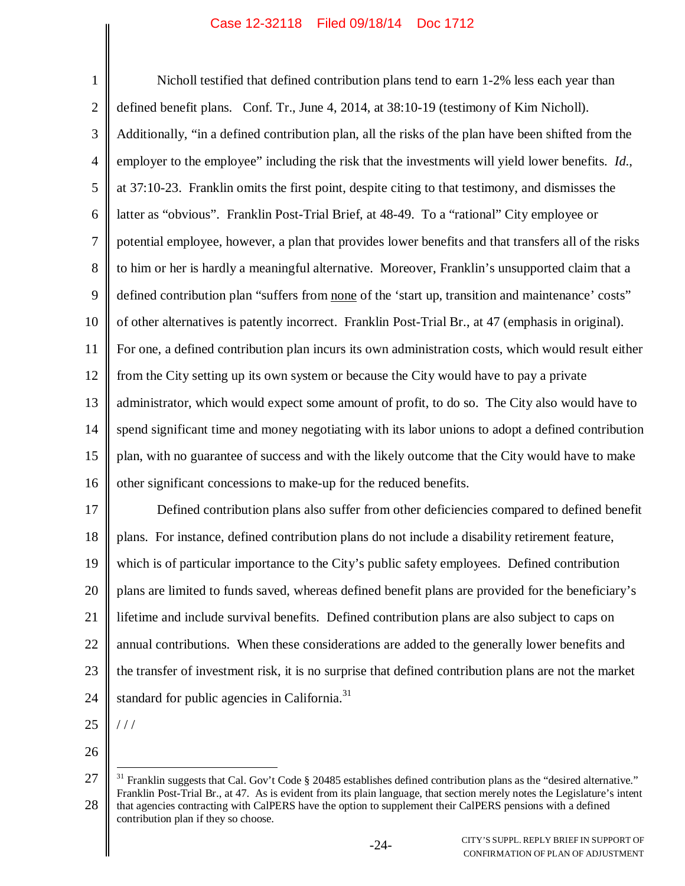1 2 3 4 5 6 7 8 9 10 11 12 13 14 15 16 17 18 19 20 21 22 Nicholl testified that defined contribution plans tend to earn 1-2% less each year than defined benefit plans. Conf. Tr., June 4, 2014, at 38:10-19 (testimony of Kim Nicholl). Additionally, "in a defined contribution plan, all the risks of the plan have been shifted from the employer to the employee" including the risk that the investments will yield lower benefits. *Id.*, at 37:10-23. Franklin omits the first point, despite citing to that testimony, and dismisses the latter as "obvious". Franklin Post-Trial Brief, at 48-49. To a "rational" City employee or potential employee, however, a plan that provides lower benefits and that transfers all of the risks to him or her is hardly a meaningful alternative. Moreover, Franklin's unsupported claim that a defined contribution plan "suffers from none of the 'start up, transition and maintenance' costs" of other alternatives is patently incorrect. Franklin Post-Trial Br., at 47 (emphasis in original). For one, a defined contribution plan incurs its own administration costs, which would result either from the City setting up its own system or because the City would have to pay a private administrator, which would expect some amount of profit, to do so. The City also would have to spend significant time and money negotiating with its labor unions to adopt a defined contribution plan, with no guarantee of success and with the likely outcome that the City would have to make other significant concessions to make-up for the reduced benefits. Defined contribution plans also suffer from other deficiencies compared to defined benefit plans. For instance, defined contribution plans do not include a disability retirement feature, which is of particular importance to the City's public safety employees. Defined contribution plans are limited to funds saved, whereas defined benefit plans are provided for the beneficiary's lifetime and include survival benefits. Defined contribution plans are also subject to caps on annual contributions. When these considerations are added to the generally lower benefits and

23 the transfer of investment risk, it is no surprise that defined contribution plans are not the market

24 standard for public agencies in California.<sup>31</sup>

25

/ / /

<sup>27</sup> 28  $31$  Franklin suggests that Cal. Gov't Code § 20485 establishes defined contribution plans as the "desired alternative." Franklin Post-Trial Br., at 47. As is evident from its plain language, that section merely notes the Legislature's intent that agencies contracting with CalPERS have the option to supplement their CalPERS pensions with a defined contribution plan if they so choose.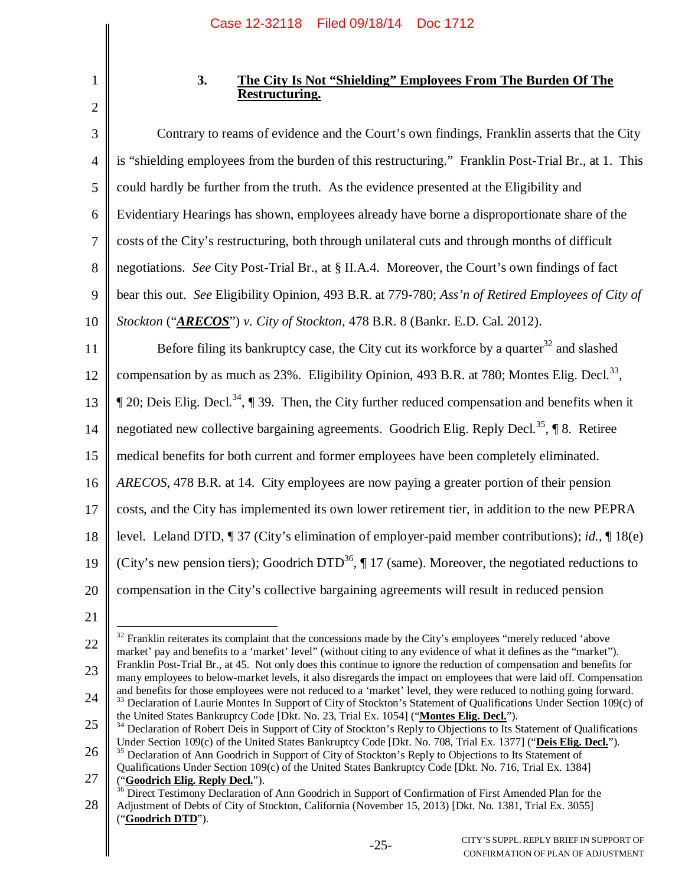## **3. The City Is Not "Shielding" Employees From The Burden Of The Restructuring.**

3 4 5 6 7 8 9 10 11 12 13 14 15 16 17 18 19 20 21 Contrary to reams of evidence and the Court's own findings, Franklin asserts that the City is "shielding employees from the burden of this restructuring." Franklin Post-Trial Br., at 1. This could hardly be further from the truth. As the evidence presented at the Eligibility and Evidentiary Hearings has shown, employees already have borne a disproportionate share of the costs of the City's restructuring, both through unilateral cuts and through months of difficult negotiations. *See* City Post-Trial Br., at § II.A.4. Moreover, the Court's own findings of fact bear this out. *See* Eligibility Opinion, 493 B.R. at 779-780; *Ass'n of Retired Employees of City of Stockton* ("*ARECOS*") *v. City of Stockton*, 478 B.R. 8 (Bankr. E.D. Cal. 2012). Before filing its bankruptcy case, the City cut its workforce by a quarter<sup>32</sup> and slashed compensation by as much as  $23\%$ . Eligibility Opinion, 493 B.R. at 780; Montes Elig. Decl.<sup>33</sup>,  $\P$  20; Deis Elig. Decl.<sup>34</sup>,  $\P$  39. Then, the City further reduced compensation and benefits when it negotiated new collective bargaining agreements. Goodrich Elig. Reply Decl.<sup>35</sup>,  $\P$  8. Retiree medical benefits for both current and former employees have been completely eliminated. *ARECOS*, 478 B.R. at 14. City employees are now paying a greater portion of their pension costs, and the City has implemented its own lower retirement tier, in addition to the new PEPRA level. Leland DTD, ¶ 37 (City's elimination of employer-paid member contributions); *id.*, ¶ 18(e) (City's new pension tiers); Goodrich DTD<sup>36</sup>,  $\P$  17 (same). Moreover, the negotiated reductions to compensation in the City's collective bargaining agreements will result in reduced pension

22 23  $32$  Franklin reiterates its complaint that the concessions made by the City's employees "merely reduced 'above market' pay and benefits to a 'market' level" (without citing to any evidence of what it defines as the "market"). Franklin Post-Trial Br., at 45. Not only does this continue to ignore the reduction of compensation and benefits for many employees to below-market levels, it also disregards the impact on employees that were laid off. Compensation

25 26  $34$  Declaration of Robert Deis in Support of City of Stockton's Reply to Objections to Its Statement of Qualifications Under Section 109(c) of the United States Bankruptcy Code [Dkt. No. 708, Trial Ex. 1377] ("**Deis Elig. Decl.**"). <sup>35</sup> Declaration of Ann Goodrich in Support of City of Stockton's Reply to Objections to Its Statement of

<sup>1</sup> 2

<sup>24</sup> and benefits for those employees were not reduced to a 'market' level, they were reduced to nothing going forward. <sup>33</sup> Declaration of Laurie Montes In Support of City of Stockton's Statement of Qualifications Under Section 109(c) of the United States Bankruptcy Code [Dkt. No. 23, Trial Ex. 1054] ("**Montes Elig. Decl.**").

<sup>27</sup> Qualifications Under Section 109(c) of the United States Bankruptcy Code [Dkt. No. 716, Trial Ex. 1384] ("**Goodrich Elig. Reply Decl.**").

<sup>28</sup> Direct Testimony Declaration of Ann Goodrich in Support of Confirmation of First Amended Plan for the Adjustment of Debts of City of Stockton, California (November 15, 2013) [Dkt. No. 1381, Trial Ex. 3055] ("**Goodrich DTD**").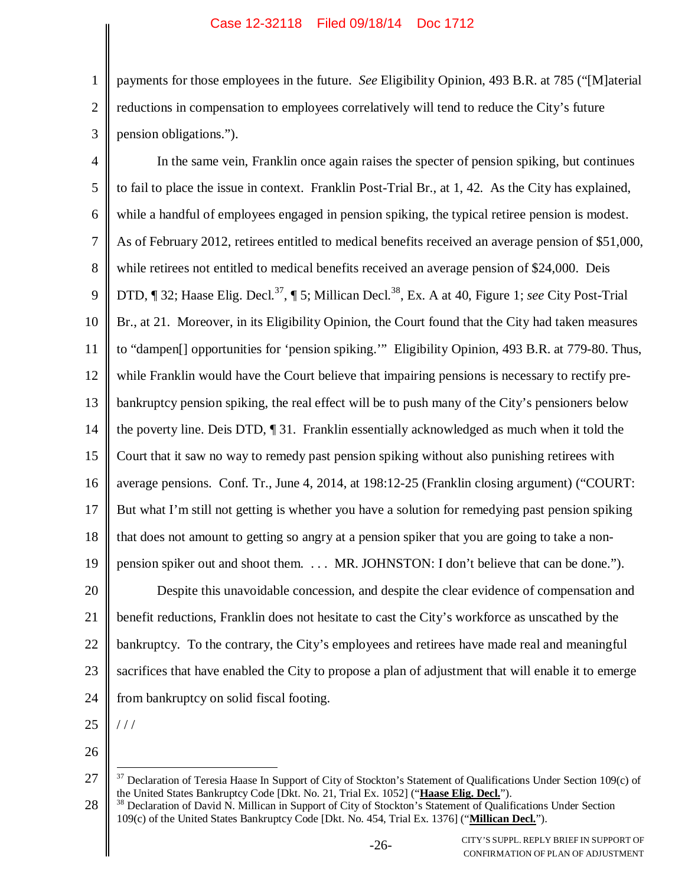2 3 payments for those employees in the future. *See* Eligibility Opinion, 493 B.R. at 785 ("[M]aterial reductions in compensation to employees correlatively will tend to reduce the City's future pension obligations.").

4 5 6 7 8 9 10 11 12 13 14 15 16 17 18 19 20 21 22 23 24 In the same vein, Franklin once again raises the specter of pension spiking, but continues to fail to place the issue in context. Franklin Post-Trial Br., at 1, 42. As the City has explained, while a handful of employees engaged in pension spiking, the typical retiree pension is modest. As of February 2012, retirees entitled to medical benefits received an average pension of \$51,000, while retirees not entitled to medical benefits received an average pension of \$24,000. Deis DTD, ¶ 32; Haase Elig. Decl.<sup>37</sup>, ¶ 5; Millican Decl.<sup>38</sup>, Ex. A at 40, Figure 1; *see* City Post-Trial Br., at 21. Moreover, in its Eligibility Opinion, the Court found that the City had taken measures to "dampen[] opportunities for 'pension spiking.'" Eligibility Opinion, 493 B.R. at 779-80. Thus, while Franklin would have the Court believe that impairing pensions is necessary to rectify prebankruptcy pension spiking, the real effect will be to push many of the City's pensioners below the poverty line. Deis DTD, ¶ 31. Franklin essentially acknowledged as much when it told the Court that it saw no way to remedy past pension spiking without also punishing retirees with average pensions. Conf. Tr., June 4, 2014, at 198:12-25 (Franklin closing argument) ("COURT: But what I'm still not getting is whether you have a solution for remedying past pension spiking that does not amount to getting so angry at a pension spiker that you are going to take a nonpension spiker out and shoot them. . . . MR. JOHNSTON: I don't believe that can be done."). Despite this unavoidable concession, and despite the clear evidence of compensation and benefit reductions, Franklin does not hesitate to cast the City's workforce as unscathed by the bankruptcy. To the contrary, the City's employees and retirees have made real and meaningful sacrifices that have enabled the City to propose a plan of adjustment that will enable it to emerge from bankruptcy on solid fiscal footing.

25

/ / /

1

<sup>27</sup> <sup>37</sup> Declaration of Teresia Haase In Support of City of Stockton's Statement of Qualifications Under Section 109(c) of the United States Bankruptcy Code [Dkt. No. 21, Trial Ex. 1052] ("**Haase Elig. Decl.**").

<sup>28</sup> <sup>38</sup> Declaration of David N. Millican in Support of City of Stockton's Statement of Qualifications Under Section 109(c) of the United States Bankruptcy Code [Dkt. No. 454, Trial Ex. 1376] ("**Millican Decl.**").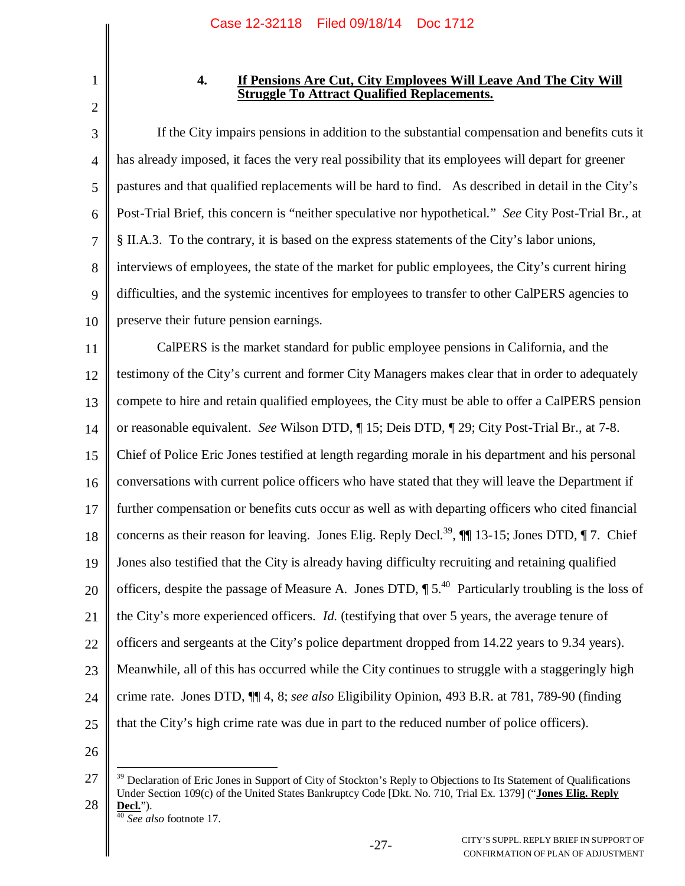1 2

## **4. If Pensions Are Cut, City Employees Will Leave And The City Will Struggle To Attract Qualified Replacements.**

3 4 5 6 7 8 9 10 If the City impairs pensions in addition to the substantial compensation and benefits cuts it has already imposed, it faces the very real possibility that its employees will depart for greener pastures and that qualified replacements will be hard to find. As described in detail in the City's Post-Trial Brief, this concern is "neither speculative nor hypothetical." *See* City Post-Trial Br., at § II.A.3. To the contrary, it is based on the express statements of the City's labor unions, interviews of employees, the state of the market for public employees, the City's current hiring difficulties, and the systemic incentives for employees to transfer to other CalPERS agencies to preserve their future pension earnings.

11 12 13 14 15 16 17 18 19 20 21 22 23 24 25 CalPERS is the market standard for public employee pensions in California, and the testimony of the City's current and former City Managers makes clear that in order to adequately compete to hire and retain qualified employees, the City must be able to offer a CalPERS pension or reasonable equivalent. *See* Wilson DTD, ¶ 15; Deis DTD, ¶ 29; City Post-Trial Br., at 7-8. Chief of Police Eric Jones testified at length regarding morale in his department and his personal conversations with current police officers who have stated that they will leave the Department if further compensation or benefits cuts occur as well as with departing officers who cited financial concerns as their reason for leaving. Jones Elig. Reply Decl.<sup>39</sup>,  $\P$  13-15; Jones DTD,  $\P$  7. Chief Jones also testified that the City is already having difficulty recruiting and retaining qualified officers, despite the passage of Measure A. Jones DTD,  $\P 5^{40}$  Particularly troubling is the loss of the City's more experienced officers. *Id.* (testifying that over 5 years, the average tenure of officers and sergeants at the City's police department dropped from 14.22 years to 9.34 years). Meanwhile, all of this has occurred while the City continues to struggle with a staggeringly high crime rate. Jones DTD, ¶¶ 4, 8; *see also* Eligibility Opinion, 493 B.R. at 781, 789-90 (finding that the City's high crime rate was due in part to the reduced number of police officers).

<sup>27</sup> 28  $39$  Declaration of Eric Jones in Support of City of Stockton's Reply to Objections to Its Statement of Qualifications Under Section 109(c) of the United States Bankruptcy Code [Dkt. No. 710, Trial Ex. 1379] ("**Jones Elig. Reply**  $\frac{\text{Decl.}}{40 \text{ C}}$ .

<sup>40</sup> *See also* footnote 17.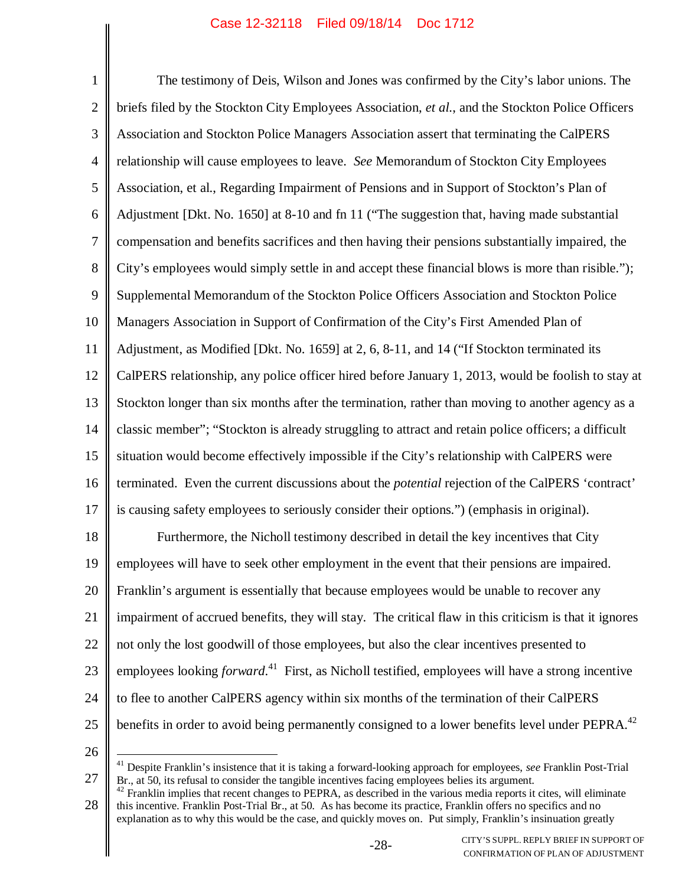1 2 3 4 5 6 7 8 9 10 11 12 13 14 15 16 17 18 19 20 21 22 23 24 25 The testimony of Deis, Wilson and Jones was confirmed by the City's labor unions. The briefs filed by the Stockton City Employees Association, *et al.*, and the Stockton Police Officers Association and Stockton Police Managers Association assert that terminating the CalPERS relationship will cause employees to leave. *See* Memorandum of Stockton City Employees Association, et al., Regarding Impairment of Pensions and in Support of Stockton's Plan of Adjustment [Dkt. No. 1650] at 8-10 and fn 11 ("The suggestion that, having made substantial compensation and benefits sacrifices and then having their pensions substantially impaired, the City's employees would simply settle in and accept these financial blows is more than risible."); Supplemental Memorandum of the Stockton Police Officers Association and Stockton Police Managers Association in Support of Confirmation of the City's First Amended Plan of Adjustment, as Modified [Dkt. No. 1659] at 2, 6, 8-11, and 14 ("If Stockton terminated its CalPERS relationship, any police officer hired before January 1, 2013, would be foolish to stay at Stockton longer than six months after the termination, rather than moving to another agency as a classic member"; "Stockton is already struggling to attract and retain police officers; a difficult situation would become effectively impossible if the City's relationship with CalPERS were terminated. Even the current discussions about the *potential* rejection of the CalPERS 'contract' is causing safety employees to seriously consider their options.") (emphasis in original). Furthermore, the Nicholl testimony described in detail the key incentives that City employees will have to seek other employment in the event that their pensions are impaired. Franklin's argument is essentially that because employees would be unable to recover any impairment of accrued benefits, they will stay. The critical flaw in this criticism is that it ignores not only the lost goodwill of those employees, but also the clear incentives presented to employees looking *forward*. <sup>41</sup> First, as Nicholl testified, employees will have a strong incentive to flee to another CalPERS agency within six months of the termination of their CalPERS benefits in order to avoid being permanently consigned to a lower benefits level under PEPRA.<sup>42</sup>

<sup>27</sup> <sup>41</sup> Despite Franklin's insistence that it is taking a forward-looking approach for employees, *see* Franklin Post-Trial Br., at 50, its refusal to consider the tangible incentives facing employees belies its argument.

<sup>28</sup>  $42$  Franklin implies that recent changes to PEPRA, as described in the various media reports it cites, will eliminate this incentive. Franklin Post-Trial Br., at 50. As has become its practice, Franklin offers no specifics and no explanation as to why this would be the case, and quickly moves on. Put simply, Franklin's insinuation greatly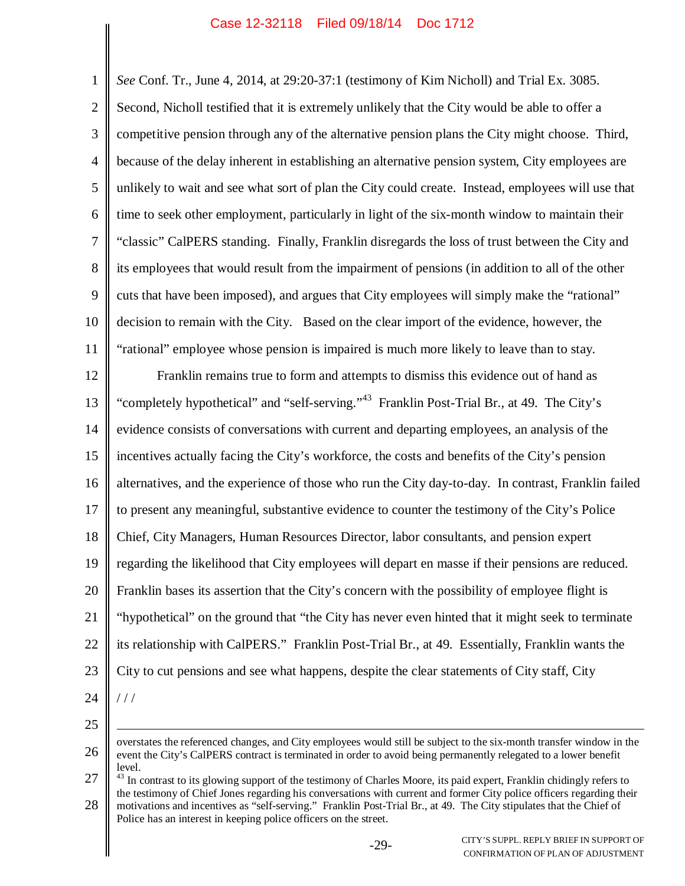1 2 3 4 5 6 7 8 9 10 11 12 13 14 15 16 17 18 19 20 21 22 23 24 25 26 *See* Conf. Tr., June 4, 2014, at 29:20-37:1 (testimony of Kim Nicholl) and Trial Ex. 3085. Second, Nicholl testified that it is extremely unlikely that the City would be able to offer a competitive pension through any of the alternative pension plans the City might choose. Third, because of the delay inherent in establishing an alternative pension system, City employees are unlikely to wait and see what sort of plan the City could create. Instead, employees will use that time to seek other employment, particularly in light of the six-month window to maintain their "classic" CalPERS standing. Finally, Franklin disregards the loss of trust between the City and its employees that would result from the impairment of pensions (in addition to all of the other cuts that have been imposed), and argues that City employees will simply make the "rational" decision to remain with the City. Based on the clear import of the evidence, however, the "rational" employee whose pension is impaired is much more likely to leave than to stay. Franklin remains true to form and attempts to dismiss this evidence out of hand as "completely hypothetical" and "self-serving."<sup>43</sup> Franklin Post-Trial Br., at 49. The City's evidence consists of conversations with current and departing employees, an analysis of the incentives actually facing the City's workforce, the costs and benefits of the City's pension alternatives, and the experience of those who run the City day-to-day. In contrast, Franklin failed to present any meaningful, substantive evidence to counter the testimony of the City's Police Chief, City Managers, Human Resources Director, labor consultants, and pension expert regarding the likelihood that City employees will depart en masse if their pensions are reduced. Franklin bases its assertion that the City's concern with the possibility of employee flight is "hypothetical" on the ground that "the City has never even hinted that it might seek to terminate its relationship with CalPERS." Franklin Post-Trial Br., at 49. Essentially, Franklin wants the City to cut pensions and see what happens, despite the clear statements of City staff, City / / / overstates the referenced changes, and City employees would still be subject to the six-month transfer window in the event the City's CalPERS contract is terminated in order to avoid being permanently relegated to a lower benefit

27 28 level. <sup>43</sup> In contrast to its glowing support of the testimony of Charles Moore, its paid expert, Franklin chidingly refers to the testimony of Chief Jones regarding his conversations with current and former City police officers regarding their motivations and incentives as "self-serving." Franklin Post-Trial Br., at 49. The City stipulates that the Chief of Police has an interest in keeping police officers on the street.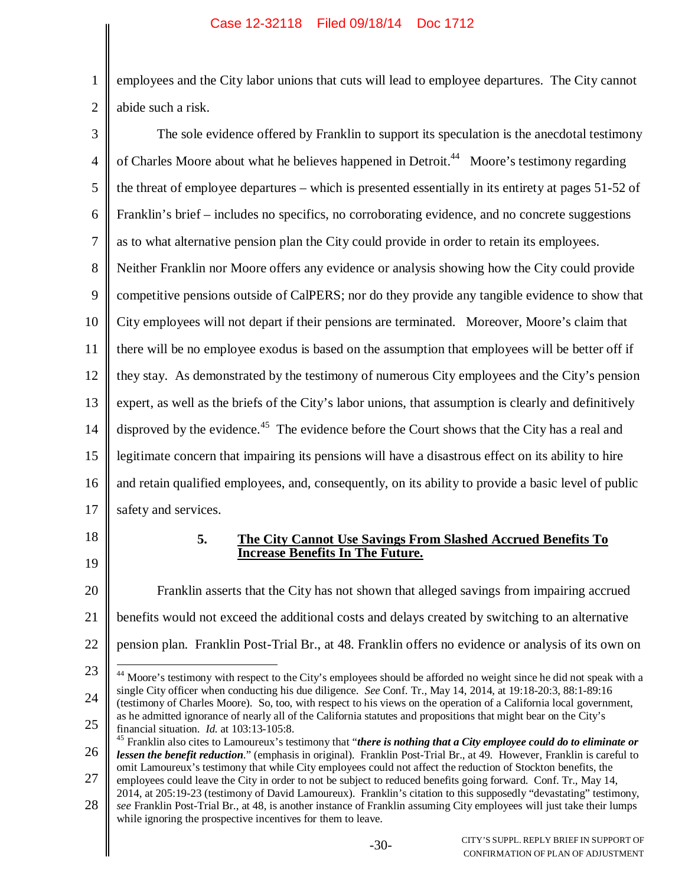1 2 employees and the City labor unions that cuts will lead to employee departures. The City cannot abide such a risk.

| 3              | The sole evidence offered by Franklin to support its speculation is the anecdotal testimony                                                                                                                                                      |  |  |  |  |
|----------------|--------------------------------------------------------------------------------------------------------------------------------------------------------------------------------------------------------------------------------------------------|--|--|--|--|
| $\overline{4}$ | of Charles Moore about what he believes happened in Detroit. <sup>44</sup> Moore's testimony regarding                                                                                                                                           |  |  |  |  |
| 5              | the threat of employee departures – which is presented essentially in its entirety at pages 51-52 of                                                                                                                                             |  |  |  |  |
| 6              | Franklin's brief – includes no specifics, no corroborating evidence, and no concrete suggestions                                                                                                                                                 |  |  |  |  |
| 7              | as to what alternative pension plan the City could provide in order to retain its employees.                                                                                                                                                     |  |  |  |  |
| 8              | Neither Franklin nor Moore offers any evidence or analysis showing how the City could provide                                                                                                                                                    |  |  |  |  |
| 9              | competitive pensions outside of CalPERS; nor do they provide any tangible evidence to show that                                                                                                                                                  |  |  |  |  |
| 10             | City employees will not depart if their pensions are terminated. Moreover, Moore's claim that                                                                                                                                                    |  |  |  |  |
| 11             | there will be no employee exodus is based on the assumption that employees will be better off if                                                                                                                                                 |  |  |  |  |
| 12             | they stay. As demonstrated by the testimony of numerous City employees and the City's pension                                                                                                                                                    |  |  |  |  |
| 13             | expert, as well as the briefs of the City's labor unions, that assumption is clearly and definitively                                                                                                                                            |  |  |  |  |
| 14             | disproved by the evidence. <sup>45</sup> The evidence before the Court shows that the City has a real and                                                                                                                                        |  |  |  |  |
| 15             | legitimate concern that impairing its pensions will have a disastrous effect on its ability to hire                                                                                                                                              |  |  |  |  |
| 16             | and retain qualified employees, and, consequently, on its ability to provide a basic level of public                                                                                                                                             |  |  |  |  |
| 17             | safety and services.                                                                                                                                                                                                                             |  |  |  |  |
| 18<br>19       | 5.<br>The City Cannot Use Savings From Slashed Accrued Benefits To<br><b>Increase Benefits In The Future.</b>                                                                                                                                    |  |  |  |  |
| 20             | Franklin asserts that the City has not shown that alleged savings from impairing accrued                                                                                                                                                         |  |  |  |  |
| 21             | benefits would not exceed the additional costs and delays created by switching to an alternative                                                                                                                                                 |  |  |  |  |
| 22             | pension plan. Franklin Post-Trial Br., at 48. Franklin offers no evidence or analysis of its own on                                                                                                                                              |  |  |  |  |
| 23             | <sup>44</sup> Moore's testimony with respect to the City's employees should be afforded no weight since he did not speak with a                                                                                                                  |  |  |  |  |
| 24             | single City officer when conducting his due diligence. See Conf. Tr., May 14, 2014, at 19:18-20:3, 88:1-89:16<br>(testimony of Charles Moore). So, too, with respect to his views on the operation of a California local government,             |  |  |  |  |
| 25             | as he admitted ignorance of nearly all of the California statutes and propositions that might bear on the City's<br>financial situation. Id. at 103:13-105:8.                                                                                    |  |  |  |  |
| 26             | $45$ Franklin also cites to Lamoureux's testimony that "there is nothing that a City employee could do to eliminate or<br>lessen the benefit reduction." (emphasis in original). Franklin Post-Trial Br., at 49. However, Franklin is careful to |  |  |  |  |
| 27             | omit Lamoureux's testimony that while City employees could not affect the reduction of Stockton benefits, the<br>employees could leave the City in order to not be subject to reduced benefits going forward. Conf. Tr., May 14,                 |  |  |  |  |
| 28             | 2014, at 205:19-23 (testimony of David Lamoureux). Franklin's citation to this supposedly "devastating" testimony,<br>see Franklin Post-Trial Br., at 48, is another instance of Franklin assuming City employees will just take their lumps     |  |  |  |  |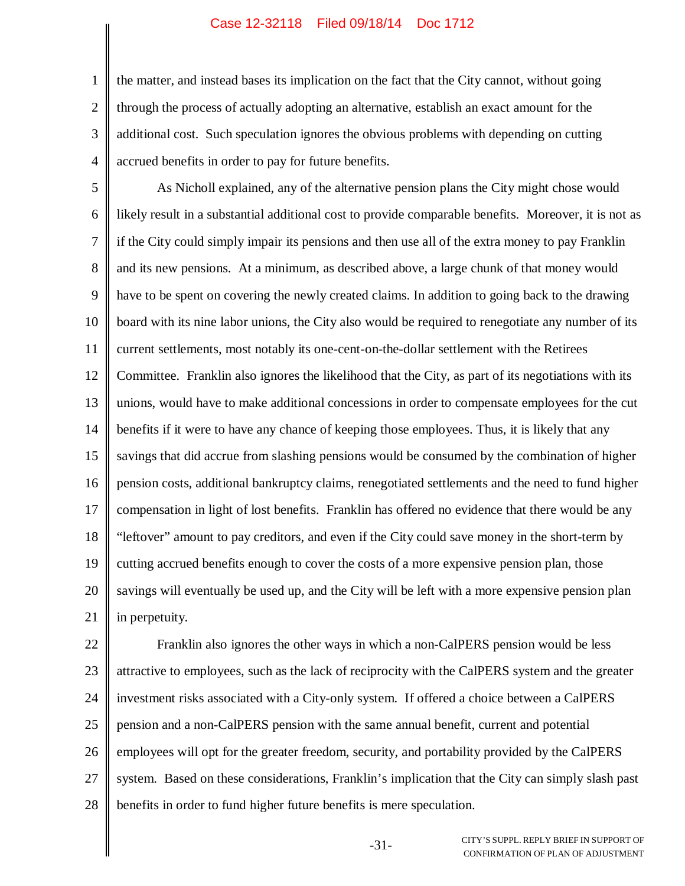1

2 3 4 the matter, and instead bases its implication on the fact that the City cannot, without going through the process of actually adopting an alternative, establish an exact amount for the additional cost. Such speculation ignores the obvious problems with depending on cutting accrued benefits in order to pay for future benefits.

5 6 7 8 9 10 11 12 13 14 15 16 17 18 19 20 21 As Nicholl explained, any of the alternative pension plans the City might chose would likely result in a substantial additional cost to provide comparable benefits. Moreover, it is not as if the City could simply impair its pensions and then use all of the extra money to pay Franklin and its new pensions. At a minimum, as described above, a large chunk of that money would have to be spent on covering the newly created claims. In addition to going back to the drawing board with its nine labor unions, the City also would be required to renegotiate any number of its current settlements, most notably its one-cent-on-the-dollar settlement with the Retirees Committee. Franklin also ignores the likelihood that the City, as part of its negotiations with its unions, would have to make additional concessions in order to compensate employees for the cut benefits if it were to have any chance of keeping those employees. Thus, it is likely that any savings that did accrue from slashing pensions would be consumed by the combination of higher pension costs, additional bankruptcy claims, renegotiated settlements and the need to fund higher compensation in light of lost benefits. Franklin has offered no evidence that there would be any "leftover" amount to pay creditors, and even if the City could save money in the short-term by cutting accrued benefits enough to cover the costs of a more expensive pension plan, those savings will eventually be used up, and the City will be left with a more expensive pension plan in perpetuity.

22 23 24 25 26 27 28 Franklin also ignores the other ways in which a non-CalPERS pension would be less attractive to employees, such as the lack of reciprocity with the CalPERS system and the greater investment risks associated with a City-only system. If offered a choice between a CalPERS pension and a non-CalPERS pension with the same annual benefit, current and potential employees will opt for the greater freedom, security, and portability provided by the CalPERS system. Based on these considerations, Franklin's implication that the City can simply slash past benefits in order to fund higher future benefits is mere speculation.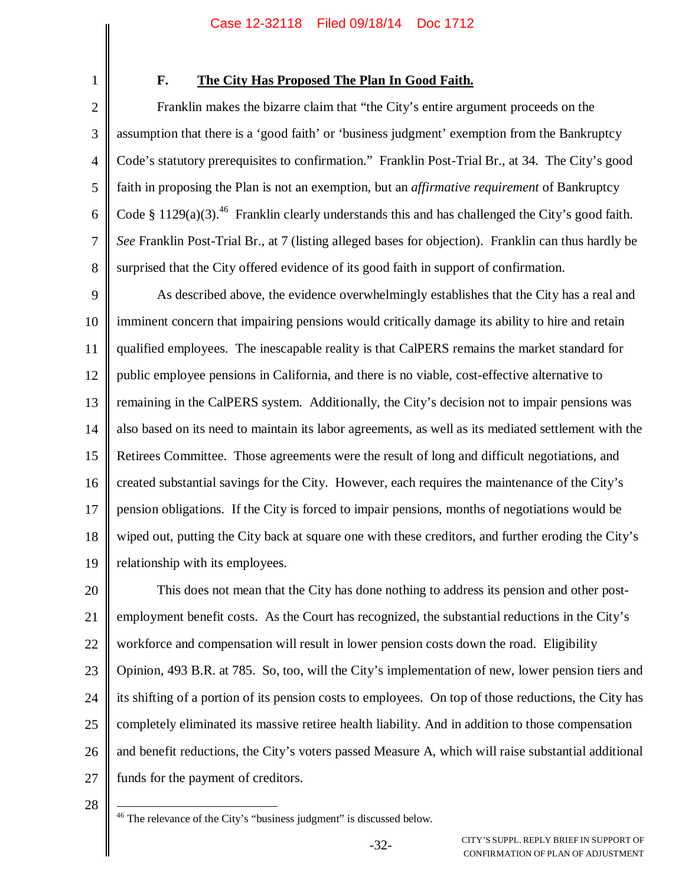1

# **F. The City Has Proposed The Plan In Good Faith.**

2 3 4 5 6 7 8 Franklin makes the bizarre claim that "the City's entire argument proceeds on the assumption that there is a 'good faith' or 'business judgment' exemption from the Bankruptcy Code's statutory prerequisites to confirmation." Franklin Post-Trial Br., at 34. The City's good faith in proposing the Plan is not an exemption, but an *affirmative requirement* of Bankruptcy Code § 1129(a)(3).<sup>46</sup> Franklin clearly understands this and has challenged the City's good faith. *See* Franklin Post-Trial Br., at 7 (listing alleged bases for objection). Franklin can thus hardly be surprised that the City offered evidence of its good faith in support of confirmation.

9 10 11 12 13 14 15 16 17 18 19 As described above, the evidence overwhelmingly establishes that the City has a real and imminent concern that impairing pensions would critically damage its ability to hire and retain qualified employees. The inescapable reality is that CalPERS remains the market standard for public employee pensions in California, and there is no viable, cost-effective alternative to remaining in the CalPERS system. Additionally, the City's decision not to impair pensions was also based on its need to maintain its labor agreements, as well as its mediated settlement with the Retirees Committee. Those agreements were the result of long and difficult negotiations, and created substantial savings for the City. However, each requires the maintenance of the City's pension obligations. If the City is forced to impair pensions, months of negotiations would be wiped out, putting the City back at square one with these creditors, and further eroding the City's relationship with its employees.

20 21 22 23 24 25 26 27 This does not mean that the City has done nothing to address its pension and other postemployment benefit costs. As the Court has recognized, the substantial reductions in the City's workforce and compensation will result in lower pension costs down the road. Eligibility Opinion, 493 B.R. at 785. So, too, will the City's implementation of new, lower pension tiers and its shifting of a portion of its pension costs to employees. On top of those reductions, the City has completely eliminated its massive retiree health liability. And in addition to those compensation and benefit reductions, the City's voters passed Measure A, which will raise substantial additional funds for the payment of creditors.

28

<sup>46</sup> The relevance of the City's "business judgment" is discussed below.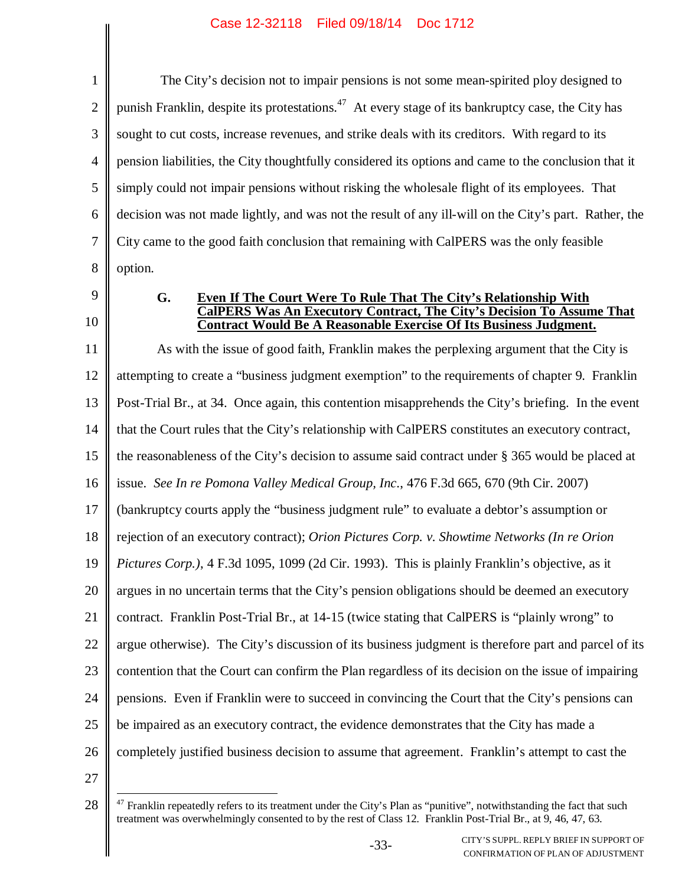1 2 3 4 5 6 7 8 The City's decision not to impair pensions is not some mean-spirited ploy designed to punish Franklin, despite its protestations.<sup>47</sup> At every stage of its bankruptcy case, the City has sought to cut costs, increase revenues, and strike deals with its creditors. With regard to its pension liabilities, the City thoughtfully considered its options and came to the conclusion that it simply could not impair pensions without risking the wholesale flight of its employees. That decision was not made lightly, and was not the result of any ill-will on the City's part. Rather, the City came to the good faith conclusion that remaining with CalPERS was the only feasible option.

- 9
- 10

### **G. Even If The Court Were To Rule That The City's Relationship With CalPERS Was An Executory Contract, The City's Decision To Assume That Contract Would Be A Reasonable Exercise Of Its Business Judgment.**

11 12 13 14 15 16 17 18 19 20 21 22 23 24 25 26 As with the issue of good faith, Franklin makes the perplexing argument that the City is attempting to create a "business judgment exemption" to the requirements of chapter 9. Franklin Post-Trial Br., at 34. Once again, this contention misapprehends the City's briefing. In the event that the Court rules that the City's relationship with CalPERS constitutes an executory contract, the reasonableness of the City's decision to assume said contract under § 365 would be placed at issue. *See In re Pomona Valley Medical Group, Inc*., 476 F.3d 665, 670 (9th Cir. 2007) (bankruptcy courts apply the "business judgment rule" to evaluate a debtor's assumption or rejection of an executory contract); *Orion Pictures Corp. v. Showtime Networks (In re Orion Pictures Corp.)*, 4 F.3d 1095, 1099 (2d Cir. 1993). This is plainly Franklin's objective, as it argues in no uncertain terms that the City's pension obligations should be deemed an executory contract. Franklin Post-Trial Br., at 14-15 (twice stating that CalPERS is "plainly wrong" to argue otherwise). The City's discussion of its business judgment is therefore part and parcel of its contention that the Court can confirm the Plan regardless of its decision on the issue of impairing pensions. Even if Franklin were to succeed in convincing the Court that the City's pensions can be impaired as an executory contract, the evidence demonstrates that the City has made a completely justified business decision to assume that agreement. Franklin's attempt to cast the

<sup>28</sup> <sup>47</sup> Franklin repeatedly refers to its treatment under the City's Plan as "punitive", notwithstanding the fact that such treatment was overwhelmingly consented to by the rest of Class 12. Franklin Post-Trial Br., at 9, 46, 47, 63.